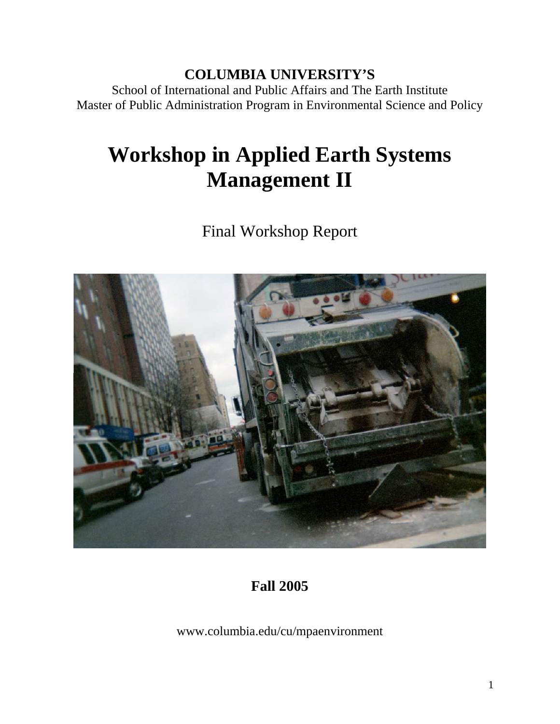# **COLUMBIA UNIVERSITY'S**

School of International and Public Affairs and The Earth Institute Master of Public Administration Program in Environmental Science and Policy

# **Workshop in Applied Earth Systems Management II**

Final Workshop Report



# **Fall 2005**

www.columbia.edu/cu/mpaenvironment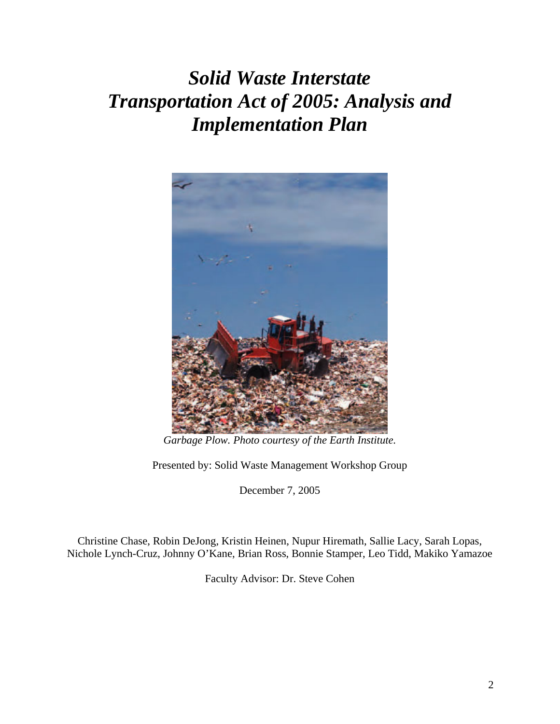# *Solid Waste Interstate Transportation Act of 2005: Analysis and Implementation Plan*



*Garbage Plow. Photo courtesy of the Earth Institute.* 

Presented by: Solid Waste Management Workshop Group

December 7, 2005

Christine Chase, Robin DeJong, Kristin Heinen, Nupur Hiremath, Sallie Lacy, Sarah Lopas, Nichole Lynch-Cruz, Johnny O'Kane, Brian Ross, Bonnie Stamper, Leo Tidd, Makiko Yamazoe

Faculty Advisor: Dr. Steve Cohen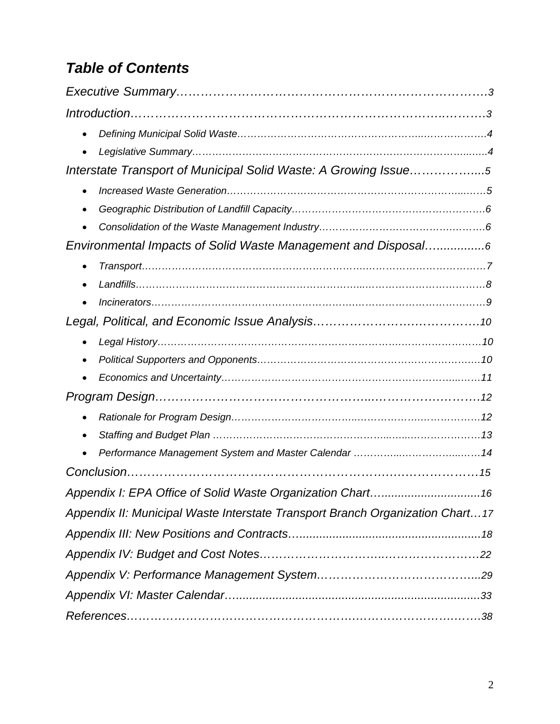# *Table of Contents*

| $\bullet$                                                                     |
|-------------------------------------------------------------------------------|
|                                                                               |
| Interstate Transport of Municipal Solid Waste: A Growing Issue5               |
| $\bullet$                                                                     |
|                                                                               |
|                                                                               |
| Environmental Impacts of Solid Waste Management and Disposal6                 |
| $\bullet$                                                                     |
| $\bullet$                                                                     |
|                                                                               |
|                                                                               |
| $\bullet$                                                                     |
|                                                                               |
|                                                                               |
|                                                                               |
| $\bullet$                                                                     |
| $\bullet$                                                                     |
|                                                                               |
|                                                                               |
|                                                                               |
| Appendix II: Municipal Waste Interstate Transport Branch Organization Chart17 |
|                                                                               |
|                                                                               |
|                                                                               |
|                                                                               |
|                                                                               |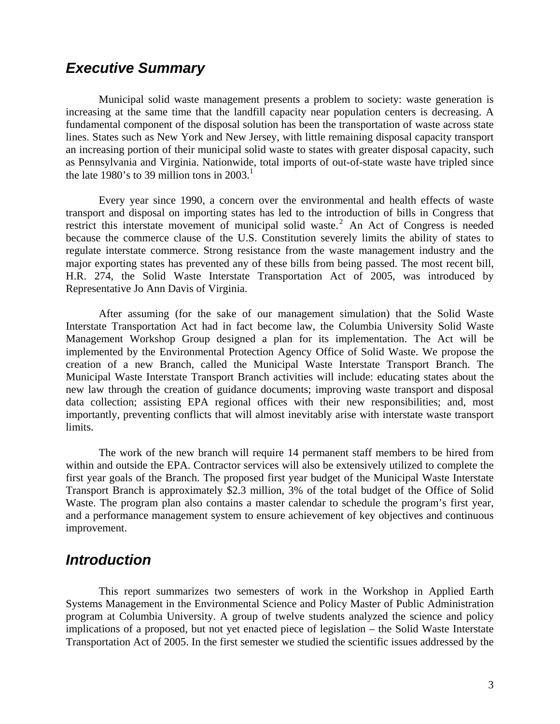## *Executive Summary*

Municipal solid waste management presents a problem to society: waste generation is increasing at the same time that the landfill capacity near population centers is decreasing. A fundamental component of the disposal solution has been the transportation of waste across state lines. States such as New York and New Jersey, with little remaining disposal capacity transport an increasing portion of their municipal solid waste to states with greater disposal capacity, such as Pennsylvania and Virginia. Nationwide, total imports of out-of-state waste have tripled since the late 1980's to 39 million tons in 2003.<sup>1</sup>

Every year since 1990, a concern over the environmental and health effects of waste transport and disposal on importing states has led to the introduction of bills in Congress that restrictthis interstate movement of municipal solid waste.<sup>2</sup> An Act of Congress is needed because the commerce clause of the U.S. Constitution severely limits the ability of states to regulate interstate commerce. Strong resistance from the waste management industry and the major exporting states has prevented any of these bills from being passed. The most recent bill, H.R. 274, the Solid Waste Interstate Transportation Act of 2005, was introduced by Representative Jo Ann Davis of Virginia.

After assuming (for the sake of our management simulation) that the Solid Waste Interstate Transportation Act had in fact become law, the Columbia University Solid Waste Management Workshop Group designed a plan for its implementation. The Act will be implemented by the Environmental Protection Agency Office of Solid Waste. We propose the creation of a new Branch, called the Municipal Waste Interstate Transport Branch. The Municipal Waste Interstate Transport Branch activities will include: educating states about the new law through the creation of guidance documents; improving waste transport and disposal data collection; assisting EPA regional offices with their new responsibilities; and, most importantly, preventing conflicts that will almost inevitably arise with interstate waste transport limits.

The work of the new branch will require 14 permanent staff members to be hired from within and outside the EPA. Contractor services will also be extensively utilized to complete the first year goals of the Branch. The proposed first year budget of the Municipal Waste Interstate Transport Branch is approximately \$2.3 million, 3% of the total budget of the Office of Solid Waste. The program plan also contains a master calendar to schedule the program's first year, and a performance management system to ensure achievement of key objectives and continuous improvement.

### *Introduction*

This report summarizes two semesters of work in the Workshop in Applied Earth Systems Management in the Environmental Science and Policy Master of Public Administration program at Columbia University. A group of twelve students analyzed the science and policy implications of a proposed, but not yet enacted piece of legislation – the Solid Waste Interstate Transportation Act of 2005. In the first semester we studied the scientific issues addressed by the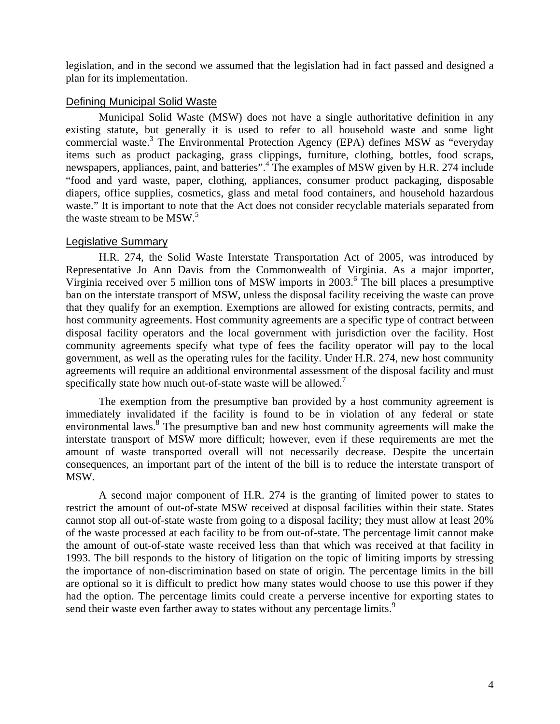legislation, and in the second we assumed that the legislation had in fact passed and designed a plan for its implementation.

### Defining Municipal Solid Waste

Municipal Solid Waste (MSW) does not have a single authoritative definition in any existing statute, but generally it is used to refer to all household waste and some light commercial waste.<sup>[3](#page-41-2)</sup> The Environmental Protection Agency (EPA) defines MSW as "everyday items such as product packaging, grass clippings, furniture, clothing, bottles, food scraps, newspapers, appliances, paint, and batteries".<sup>4</sup> The examples of MSW given by H.R. 274 include "food and yard waste, paper, clothing, appliances, consumer product packaging, disposable diapers, office supplies, cosmetics, glass and metal food containers, and household hazardous waste." It is important to note that the Act does not consider recyclable materials separated from the waste stream to be MSW.<sup>[5](#page-41-4)</sup>

### Legislative Summary

H.R. 274, the Solid Waste Interstate Transportation Act of 2005, was introduced by Representative Jo Ann Davis from the Commonwealth of Virginia. As a major importer, Virginiareceived over 5 million tons of MSW imports in 2003.<sup>6</sup> The bill places a presumptive ban on the interstate transport of MSW, unless the disposal facility receiving the waste can prove that they qualify for an exemption. Exemptions are allowed for existing contracts, permits, and host community agreements. Host community agreements are a specific type of contract between disposal facility operators and the local government with jurisdiction over the facility. Host community agreements specify what type of fees the facility operator will pay to the local government, as well as the operating rules for the facility. Under H.R. 274, new host community agreements will require an additional environmental assessment of the disposal facility and must specifically state how much out-of-state waste will be allowed.<sup>7</sup>

The exemption from the presumptive ban provided by a host community agreement is immediately invalidated if the facility is found to be in violation of any federal or state environmental laws.<sup>8</sup> The presumptive ban and new host community agreements will make the interstate transport of MSW more difficult; however, even if these requirements are met the amount of waste transported overall will not necessarily decrease. Despite the uncertain consequences, an important part of the intent of the bill is to reduce the interstate transport of MSW.

A second major component of H.R. 274 is the granting of limited power to states to restrict the amount of out-of-state MSW received at disposal facilities within their state. States cannot stop all out-of-state waste from going to a disposal facility; they must allow at least 20% of the waste processed at each facility to be from out-of-state. The percentage limit cannot make the amount of out-of-state waste received less than that which was received at that facility in 1993. The bill responds to the history of litigation on the topic of limiting imports by stressing the importance of non-discrimination based on state of origin. The percentage limits in the bill are optional so it is difficult to predict how many states would choose to use this power if they had the option. The percentage limits could create a perverse incentive for exporting states to sendtheir waste even farther away to states without any percentage limits.<sup>9</sup>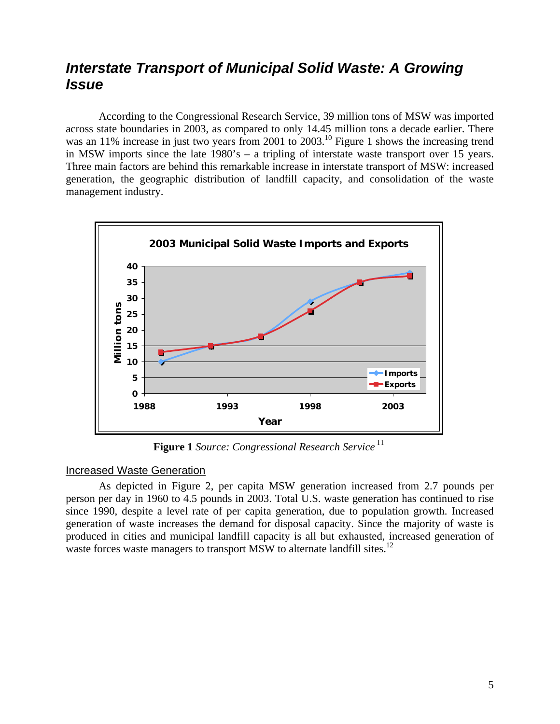## *Interstate Transport of Municipal Solid Waste: A Growing Issue*

According to the Congressional Research Service, 39 million tons of MSW was imported across state boundaries in 2003, as compared to only 14.45 million tons a decade earlier. There was an 11% increase in just two years from 2001 to  $2003$ .<sup>10</sup> Figure 1 shows the increasing trend in MSW imports since the late 1980's – a tripling of interstate waste transport over 15 years. Three main factors are behind this remarkable increase in interstate transport of MSW: increased generation, the geographic distribution of landfill capacity, and consolidation of the waste management industry.



**Figure 1** *Source: Congressional Research Service* [11](#page-41-10)

### Increased Waste Generation

As depicted in Figure 2, per capita MSW generation increased from 2.7 pounds per person per day in 1960 to 4.5 pounds in 2003. Total U.S. waste generation has continued to rise since 1990, despite a level rate of per capita generation, due to population growth. Increased generation of waste increases the demand for disposal capacity. Since the majority of waste is produced in cities and municipal landfill capacity is all but exhausted, increased generation of waste forces waste managers to transport MSW to alternate landfill sites.<sup>12</sup>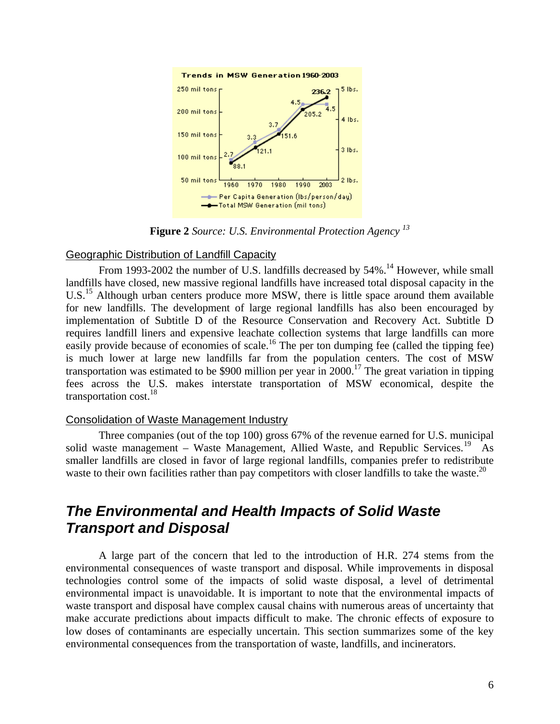

**Figure 2** *Source: U.S. Environmental Protection Agency [13](#page-41-12)*

#### Geographic Distribution of Landfill Capacity

From 1993-2002 the number of U.S. landfills decreased by 54%.<sup>14</sup> However, while small landfills have closed, new massive regional landfills have increased total disposal capacity in the U.S.<sup>15</sup> Although urban centers produce more MSW, there is little space around them available for new landfills. The development of large regional landfills has also been encouraged by implementation of Subtitle D of the Resource Conservation and Recovery Act. Subtitle D requires landfill liners and expensive leachate collection systems that large landfills can more easily provide because of economies of scale.<sup>16</sup> The per ton dumping fee (called the tipping fee) is much lower at large new landfills far from the population centers. The cost of MSW transportation was estimated to be \$900 million per year in 2000.<sup>17</sup> The great variation in tipping fees across the U.S. makes interstate transportation of MSW economical, despite the transportation cost[.18](#page-41-17) 

#### Consolidation of Waste Management Industry

Three companies (out of the top 100) gross 67% of the revenue earned for U.S. municipal solid waste management – Waste Management, Allied Waste, and Republic Services.<sup>19</sup> As smaller landfills are closed in favor of large regional landfills, companies prefer to redistribute waste to their own facilities rather than pay competitors with closer landfills to take the waste.<sup>[20](#page-41-19)</sup>

# *The Environmental and Health Impacts of Solid Waste Transport and Disposal*

A large part of the concern that led to the introduction of H.R. 274 stems from the environmental consequences of waste transport and disposal. While improvements in disposal technologies control some of the impacts of solid waste disposal, a level of detrimental environmental impact is unavoidable. It is important to note that the environmental impacts of waste transport and disposal have complex causal chains with numerous areas of uncertainty that make accurate predictions about impacts difficult to make. The chronic effects of exposure to low doses of contaminants are especially uncertain. This section summarizes some of the key environmental consequences from the transportation of waste, landfills, and incinerators.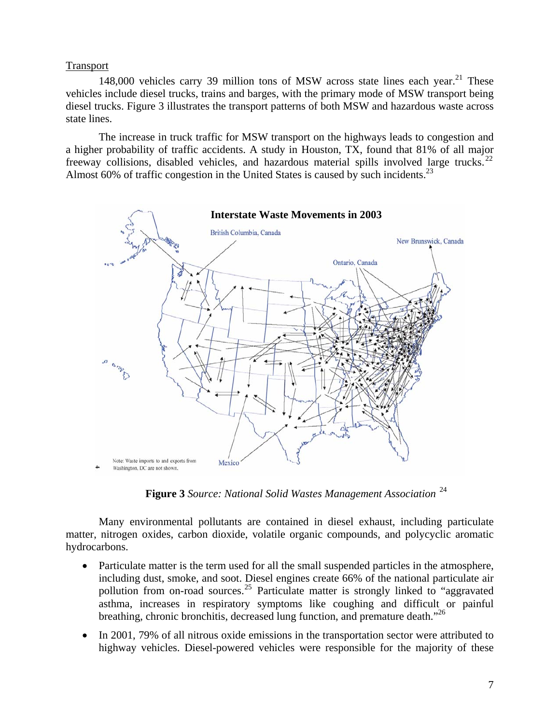#### Transport

148,000 vehicles carry 39 million tons of MSW across state lines each year.<sup>21</sup> These vehicles include diesel trucks, trains and barges, with the primary mode of MSW transport being diesel trucks. Figure 3 illustrates the transport patterns of both MSW and hazardous waste across state lines.

The increase in truck traffic for MSW transport on the highways leads to congestion and a higher probability of traffic accidents. A study in Houston, TX, found that 81% of all major freeway collisions, disabled vehicles, and hazardous material spills involved large trucks.<sup>[22](#page-41-21)</sup> Almost 60% of traffic congestion in the United States is caused by such incidents.<sup>[23](#page-41-22)</sup>



**Figure 3** *Source: National Solid Wastes Management Association* [24](#page-41-23)

Many environmental pollutants are contained in diesel exhaust, including particulate matter, nitrogen oxides, carbon dioxide, volatile organic compounds, and polycyclic aromatic hydrocarbons.

- Particulate matter is the term used for all the small suspended particles in the atmosphere, including dust, smoke, and soot. Diesel engines create 66% of the national particulate air pollution from on-road sources.<sup>25</sup> Particulate matter is strongly linked to "aggravated" asthma, increases in respiratory symptoms like coughing and difficult or painful breathing, chronic bronchitis, decreased lung function, and premature death.["26](#page-41-25)
- In 2001, 79% of all nitrous oxide emissions in the transportation sector were attributed to highway vehicles. Diesel-powered vehicles were responsible for the majority of these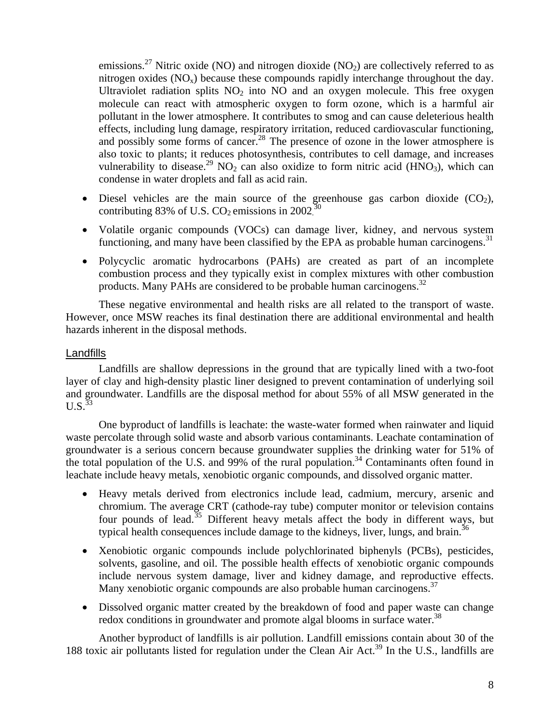emissions.<sup>27</sup> Nitric oxide (NO) and nitrogen dioxide (NO<sub>2</sub>) are collectively referred to as nitrogen oxides  $(NO_x)$  because these compounds rapidly interchange throughout the day. Ultraviolet radiation splits  $NO<sub>2</sub>$  into NO and an oxygen molecule. This free oxygen molecule can react with atmospheric oxygen to form ozone, which is a harmful air pollutant in the lower atmosphere. It contributes to smog and can cause deleterious health effects, including lung damage, respiratory irritation, reduced cardiovascular functioning, and possibly some forms of cancer.<sup>28</sup> The presence of ozone in the lower atmosphere is also toxic to plants; it reduces photosynthesis, contributes to cell damage, and increases vulnerability to disease.<sup>29</sup> NO<sub>2</sub> can also oxidize to form nitric acid (HNO<sub>3</sub>), which can condense in water droplets and fall as acid rain.

- Diesel vehicles are the main source of the greenhouse gas carbon dioxide  $(CO<sub>2</sub>)$ , contributing 83% of U.S. CO<sub>2</sub> emissions in 2002.<sup>30</sup>
- Volatile organic compounds (VOCs) can damage liver, kidney, and nervous system functioning, and many have been classified by the EPA as probable human carcinogens. $31$
- Polycyclic aromatic hydrocarbons (PAHs) are created as part of an incomplete combustion process and they typically exist in complex mixtures with other combustion products. Many PAHs are considered to be probable human carcinogens.<sup>32</sup>

These negative environmental and health risks are all related to the transport of waste. However, once MSW reaches its final destination there are additional environmental and health hazards inherent in the disposal methods.

#### Landfills

Landfills are shallow depressions in the ground that are typically lined with a two-foot layer of clay and high-density plastic liner designed to prevent contamination of underlying soil and groundwater. Landfills are the disposal method for about 55% of all MSW generated in the  $U.S.<sup>33</sup>$  $U.S.<sup>33</sup>$  $U.S.<sup>33</sup>$ 

One byproduct of landfills is leachate: the waste-water formed when rainwater and liquid waste percolate through solid waste and absorb various contaminants. Leachate contamination of groundwater is a serious concern because groundwater supplies the drinking water for 51% of the total population of the U.S. and 99% of the rural population.<sup>34</sup> Contaminants often found in leachate include heavy metals, xenobiotic organic compounds, and dissolved organic matter.

- Heavy metals derived from electronics include lead, cadmium, mercury, arsenic and chromium. The average CRT (cathode-ray tube) computer monitor or television contains four pounds of lead.<sup>35</sup> Different heavy metals affect the body in different ways, but typical health consequences include damage to the kidneys, liver, lungs, and brain.<sup>[36](#page-41-35)</sup>
- Xenobiotic organic compounds include polychlorinated biphenyls (PCBs), pesticides, solvents, gasoline, and oil. The possible health effects of xenobiotic organic compounds include nervous system damage, liver and kidney damage, and reproductive effects. Many xenobiotic organic compounds are also probable human carcinogens.<sup>[37](#page-41-36)</sup>
- Dissolved organic matter created by the breakdown of food and paper waste can change redox conditions in groundwater and promote algal blooms in surface water.<sup>38</sup>

Another byproduct of landfills is air pollution. Landfill emissions contain about 30 of the 188 toxic air pollutants listed for regulation under the Clean Air Act.[39](#page-41-38) In the U.S., landfills are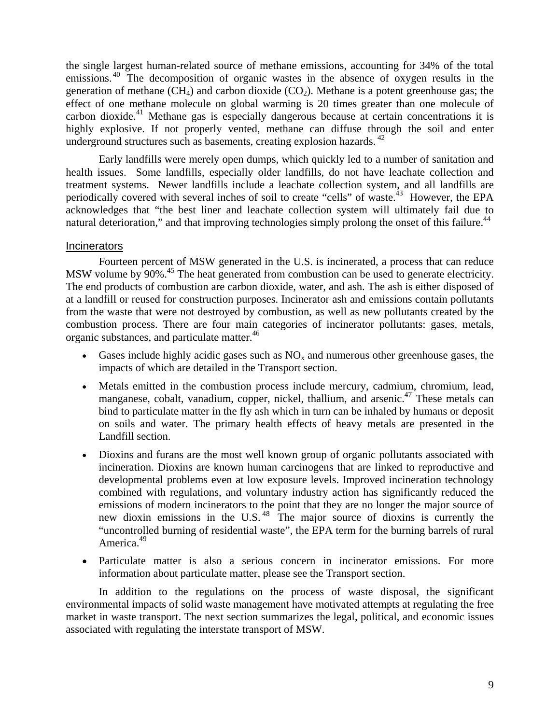the single largest human-related source of methane emissions, accounting for 34% of the total emissions.<sup>40</sup> The decomposition of organic wastes in the absence of oxygen results in the generation of methane (CH<sub>4</sub>) and carbon dioxide (CO<sub>2</sub>). Methane is a potent greenhouse gas; the effect of one methane molecule on global warming is 20 times greater than one molecule of carbon dioxide.<sup>41</sup> Methane gas is especially dangerous because at certain concentrations it is highly explosive. If not properly vented, methane can diffuse through the soil and enter underground structures such as basements, creating explosion hazards.<sup>42</sup>

Early landfills were merely open dumps, which quickly led to a number of sanitation and health issues. Some landfills, especially older landfills, do not have leachate collection and treatment systems. Newer landfills include a leachate collection system, and all landfills are periodically covered with several inches of soil to create "cells" of waste.<sup>43</sup> However, the EPA acknowledges that "the best liner and leachate collection system will ultimately fail due to natural deterioration," and that improving technologies simply prolong the onset of this failure.<sup>44</sup>

#### **Incinerators**

Fourteen percent of MSW generated in the U.S. is incinerated, a process that can reduce MSW volume by 90%<sup>45</sup>. The heat generated from combustion can be used to generate electricity. The end products of combustion are carbon dioxide, water, and ash. The ash is either disposed of at a landfill or reused for construction purposes. Incinerator ash and emissions contain pollutants from the waste that were not destroyed by combustion, as well as new pollutants created by the combustion process. There are four main categories of incinerator pollutants: gases, metals, organic substances, and particulate matter.<sup>46</sup>

- Gases include highly acidic gases such as  $NO<sub>x</sub>$  and numerous other greenhouse gases, the impacts of which are detailed in the Transport section.
- Metals emitted in the combustion process include mercury, cadmium, chromium, lead, manganese, cobalt, vanadium, copper, nickel, thallium, and arsenic.<sup>47</sup> These metals can bind to particulate matter in the fly ash which in turn can be inhaled by humans or deposit on soils and water. The primary health effects of heavy metals are presented in the Landfill section.
- Dioxins and furans are the most well known group of organic pollutants associated with incineration. Dioxins are known human carcinogens that are linked to reproductive and developmental problems even at low exposure levels. Improved incineration technology combined with regulations, and voluntary industry action has significantly reduced the emissions of modern incinerators to the point that they are no longer the major source of new dioxin emissions in the U.S. [48](#page-41-45) The major source of dioxins is currently the "uncontrolled burning of residential waste", the EPA term for the burning barrels of rural America.<sup>49</sup>
- Particulate matter is also a serious concern in incinerator emissions. For more information about particulate matter, please see the Transport section.

In addition to the regulations on the process of waste disposal, the significant environmental impacts of solid waste management have motivated attempts at regulating the free market in waste transport. The next section summarizes the legal, political, and economic issues associated with regulating the interstate transport of MSW.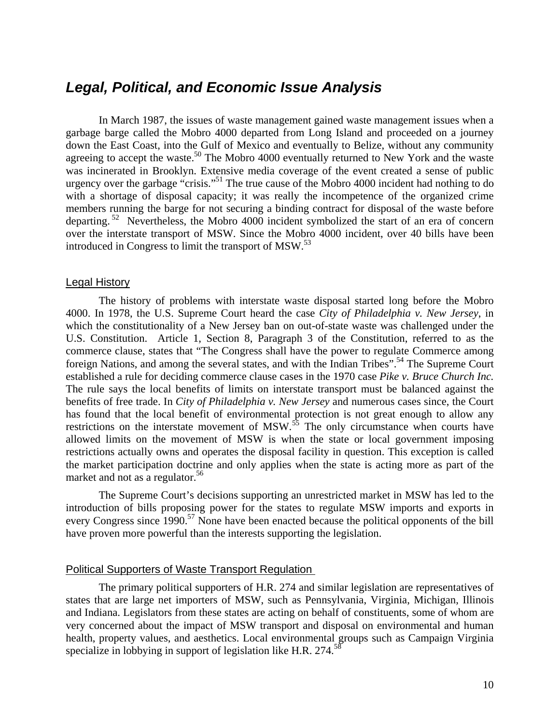## *Legal, Political, and Economic Issue Analysis*

In March 1987, the issues of waste management gained waste management issues when a garbage barge called the Mobro 4000 departed from Long Island and proceeded on a journey down the East Coast, into the Gulf of Mexico and eventually to Belize, without any community agreeing to accept the waste.<sup>50</sup> The Mobro 4000 eventually returned to New York and the waste was incinerated in Brooklyn. Extensive media coverage of the event created a sense of public urgency over the garbage "crisis."<sup>51</sup> The true cause of the Mobro 4000 incident had nothing to do with a shortage of disposal capacity; it was really the incompetence of the organized crime members running the barge for not securing a binding contract for disposal of the waste before departing.<sup>52</sup> Nevertheless, the Mobro 4000 incident symbolized the start of an era of concern over the interstate transport of MSW. Since the Mobro 4000 incident, over 40 bills have been introduced in Congress to limit the transport of MSW.<sup>[53](#page-41-50)</sup>

#### Legal History

The history of problems with interstate waste disposal started long before the Mobro 4000. In 1978, the U.S. Supreme Court heard the case *City of Philadelphia v. New Jersey*, in which the constitutionality of a New Jersey ban on out-of-state waste was challenged under the U.S. Constitution. Article 1, Section 8, Paragraph 3 of the Constitution, referred to as the commerce clause, states that "The Congress shall have the power to regulate Commerce among foreign Nations, and among the several states, and with the Indian Tribes".<sup>54</sup> The Supreme Court established a rule for deciding commerce clause cases in the 1970 case *Pike v. Bruce Church Inc.* The rule says the local benefits of limits on interstate transport must be balanced against the benefits of free trade. In *City of Philadelphia v. New Jersey* and numerous cases since, the Court has found that the local benefit of environmental protection is not great enough to allow any restrictions on the interstate movement of  $MSW$ .<sup>55</sup> The only circumstance when courts have allowed limits on the movement of MSW is when the state or local government imposing restrictions actually owns and operates the disposal facility in question. This exception is called the market participation doctrine and only applies when the state is acting more as part of the market and not as a regulator.<sup>[56](#page-41-53)</sup>

The Supreme Court's decisions supporting an unrestricted market in MSW has led to the introduction of bills proposing power for the states to regulate MSW imports and exports in every Congress since 1990.<sup>57</sup> None have been enacted because the political opponents of the bill have proven more powerful than the interests supporting the legislation.

#### Political Supporters of Waste Transport Regulation

The primary political supporters of H.R. 274 and similar legislation are representatives of states that are large net importers of MSW, such as Pennsylvania, Virginia, Michigan, Illinois and Indiana. Legislators from these states are acting on behalf of constituents, some of whom are very concerned about the impact of MSW transport and disposal on environmental and human health, property values, and aesthetics. Local environmental groups such as Campaign Virginia specialize in lobbying in support of legislation like H.R. 274.<sup>58</sup>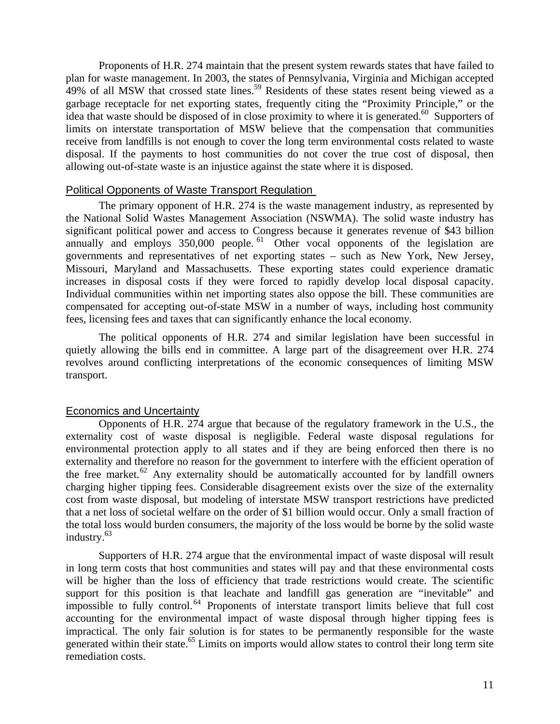Proponents of H.R. 274 maintain that the present system rewards states that have failed to plan for waste management. In 2003, the states of Pennsylvania, Virginia and Michigan accepted 49% of all MSW that crossed state lines.<sup>59</sup> Residents of these states resent being viewed as a garbage receptacle for net exporting states, frequently citing the "Proximity Principle," or the idea that waste should be disposed of in close proximity to where it is generated.<sup>60</sup> Supporters of limits on interstate transportation of MSW believe that the compensation that communities receive from landfills is not enough to cover the long term environmental costs related to waste disposal. If the payments to host communities do not cover the true cost of disposal, then allowing out-of-state waste is an injustice against the state where it is disposed.

#### Political Opponents of Waste Transport Regulation

The primary opponent of H.R. 274 is the waste management industry, as represented by the National Solid Wastes Management Association (NSWMA). The solid waste industry has significant political power and access to Congress because it generates revenue of \$43 billion annually and employs  $350,000$  people. <sup>61</sup> Other vocal opponents of the legislation are governments and representatives of net exporting states – such as New York, New Jersey, Missouri, Maryland and Massachusetts. These exporting states could experience dramatic increases in disposal costs if they were forced to rapidly develop local disposal capacity. Individual communities within net importing states also oppose the bill. These communities are compensated for accepting out-of-state MSW in a number of ways, including host community fees, licensing fees and taxes that can significantly enhance the local economy*.* 

The political opponents of H.R. 274 and similar legislation have been successful in quietly allowing the bills end in committee. A large part of the disagreement over H.R. 274 revolves around conflicting interpretations of the economic consequences of limiting MSW transport.

### Economics and Uncertainty

Opponents of H.R. 274 argue that because of the regulatory framework in the U.S., the externality cost of waste disposal is negligible. Federal waste disposal regulations for environmental protection apply to all states and if they are being enforced then there is no externality and therefore no reason for the government to interfere with the efficient operation of the free market.<sup>62</sup> Any externality should be automatically accounted for by landfill owners charging higher tipping fees. Considerable disagreement exists over the size of the externality cost from waste disposal, but modeling of interstate MSW transport restrictions have predicted that a net loss of societal welfare on the order of \$1 billion would occur. Only a small fraction of the total loss would burden consumers, the majority of the loss would be borne by the solid waste industry[.63](#page-41-60) 

Supporters of H.R. 274 argue that the environmental impact of waste disposal will result in long term costs that host communities and states will pay and that these environmental costs will be higher than the loss of efficiency that trade restrictions would create. The scientific support for this position is that leachate and landfill gas generation are "inevitable" and impossible to fully control.<sup>64</sup> Proponents of interstate transport limits believe that full cost accounting for the environmental impact of waste disposal through higher tipping fees is impractical. The only fair solution is for states to be permanently responsible for the waste generated within their state.<sup>65</sup> Limits on imports would allow states to control their long term site remediation costs.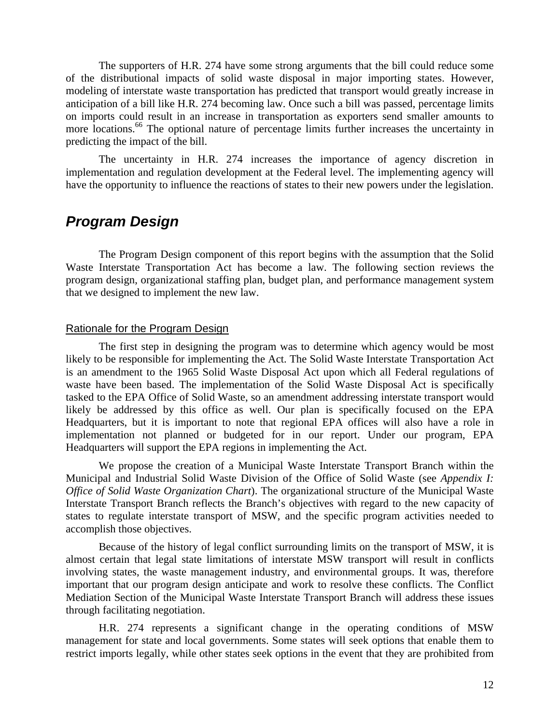The supporters of H.R. 274 have some strong arguments that the bill could reduce some of the distributional impacts of solid waste disposal in major importing states. However, modeling of interstate waste transportation has predicted that transport would greatly increase in anticipation of a bill like H.R. 274 becoming law. Once such a bill was passed, percentage limits on imports could result in an increase in transportation as exporters send smaller amounts to more locations.<sup>66</sup> The optional nature of percentage limits further increases the uncertainty in predicting the impact of the bill.

The uncertainty in H.R. 274 increases the importance of agency discretion in implementation and regulation development at the Federal level. The implementing agency will have the opportunity to influence the reactions of states to their new powers under the legislation.

### *Program Design*

The Program Design component of this report begins with the assumption that the Solid Waste Interstate Transportation Act has become a law. The following section reviews the program design, organizational staffing plan, budget plan, and performance management system that we designed to implement the new law.

#### Rationale for the Program Design

The first step in designing the program was to determine which agency would be most likely to be responsible for implementing the Act. The Solid Waste Interstate Transportation Act is an amendment to the 1965 Solid Waste Disposal Act upon which all Federal regulations of waste have been based. The implementation of the Solid Waste Disposal Act is specifically tasked to the EPA Office of Solid Waste, so an amendment addressing interstate transport would likely be addressed by this office as well. Our plan is specifically focused on the EPA Headquarters, but it is important to note that regional EPA offices will also have a role in implementation not planned or budgeted for in our report. Under our program, EPA Headquarters will support the EPA regions in implementing the Act.

We propose the creation of a Municipal Waste Interstate Transport Branch within the Municipal and Industrial Solid Waste Division of the Office of Solid Waste (see *Appendix I: Office of Solid Waste Organization Chart*). The organizational structure of the Municipal Waste Interstate Transport Branch reflects the Branch's objectives with regard to the new capacity of states to regulate interstate transport of MSW, and the specific program activities needed to accomplish those objectives.

Because of the history of legal conflict surrounding limits on the transport of MSW, it is almost certain that legal state limitations of interstate MSW transport will result in conflicts involving states, the waste management industry, and environmental groups. It was, therefore important that our program design anticipate and work to resolve these conflicts. The Conflict Mediation Section of the Municipal Waste Interstate Transport Branch will address these issues through facilitating negotiation.

H.R. 274 represents a significant change in the operating conditions of MSW management for state and local governments. Some states will seek options that enable them to restrict imports legally, while other states seek options in the event that they are prohibited from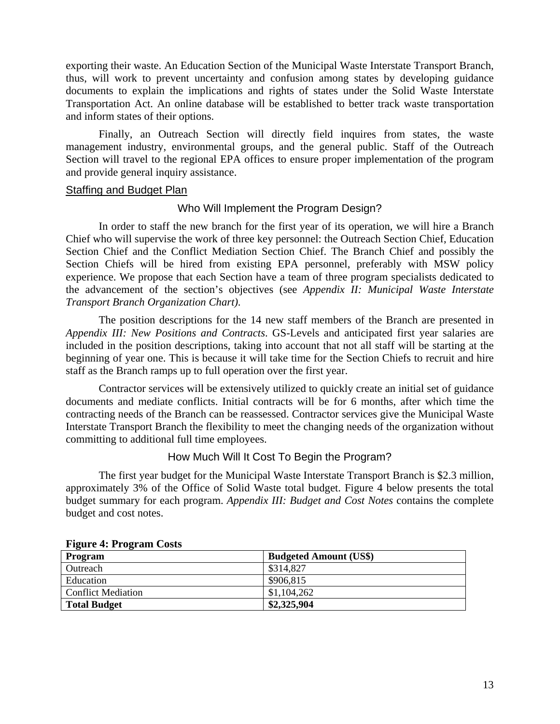exporting their waste. An Education Section of the Municipal Waste Interstate Transport Branch, thus, will work to prevent uncertainty and confusion among states by developing guidance documents to explain the implications and rights of states under the Solid Waste Interstate Transportation Act. An online database will be established to better track waste transportation and inform states of their options.

Finally, an Outreach Section will directly field inquires from states, the waste management industry, environmental groups, and the general public. Staff of the Outreach Section will travel to the regional EPA offices to ensure proper implementation of the program and provide general inquiry assistance.

#### Staffing and Budget Plan

#### Who Will Implement the Program Design?

In order to staff the new branch for the first year of its operation, we will hire a Branch Chief who will supervise the work of three key personnel: the Outreach Section Chief, Education Section Chief and the Conflict Mediation Section Chief. The Branch Chief and possibly the Section Chiefs will be hired from existing EPA personnel, preferably with MSW policy experience. We propose that each Section have a team of three program specialists dedicated to the advancement of the section's objectives (see *Appendix II: Municipal Waste Interstate Transport Branch Organization Chart)*.

The position descriptions for the 14 new staff members of the Branch are presented in *Appendix III: New Positions and Contracts*. GS-Levels and anticipated first year salaries are included in the position descriptions, taking into account that not all staff will be starting at the beginning of year one. This is because it will take time for the Section Chiefs to recruit and hire staff as the Branch ramps up to full operation over the first year.

Contractor services will be extensively utilized to quickly create an initial set of guidance documents and mediate conflicts. Initial contracts will be for 6 months, after which time the contracting needs of the Branch can be reassessed. Contractor services give the Municipal Waste Interstate Transport Branch the flexibility to meet the changing needs of the organization without committing to additional full time employees.

How Much Will It Cost To Begin the Program?

The first year budget for the Municipal Waste Interstate Transport Branch is \$2.3 million, approximately 3% of the Office of Solid Waste total budget. Figure 4 below presents the total budget summary for each program. *Appendix III: Budget and Cost Notes* contains the complete budget and cost notes.

| Program                   | <b>Budgeted Amount (US\$)</b> |
|---------------------------|-------------------------------|
| Outreach                  | \$314,827                     |
| Education                 | \$906,815                     |
| <b>Conflict Mediation</b> | \$1,104,262                   |
| <b>Total Budget</b>       | \$2,325,904                   |

#### **Figure 4: Program Costs**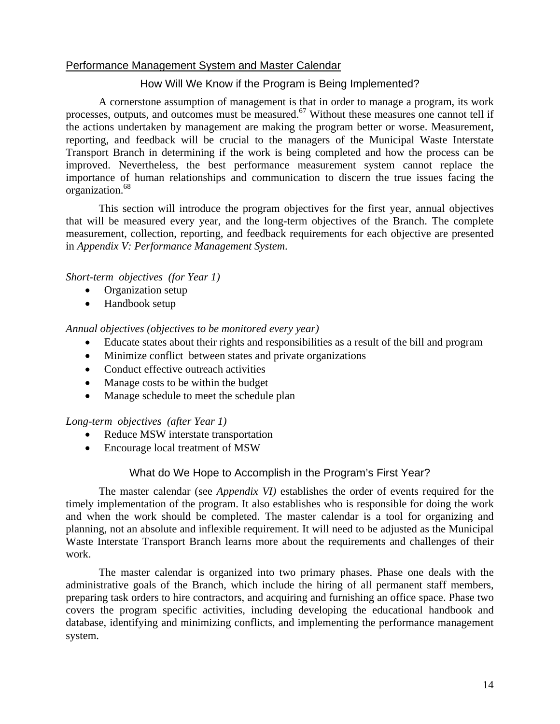#### Performance Management System and Master Calendar

#### How Will We Know if the Program is Being Implemented?

A cornerstone assumption of management is that in order to manage a program, its work processes, outputs, and outcomes must be measured.<sup>67</sup> Without these measures one cannot tell if the actions undertaken by management are making the program better or worse. Measurement, reporting, and feedback will be crucial to the managers of the Municipal Waste Interstate Transport Branch in determining if the work is being completed and how the process can be improved. Nevertheless, the best performance measurement system cannot replace the importance of human relationships and communication to discern the true issues facing the organization.<sup>68</sup>

This section will introduce the program objectives for the first year, annual objectives that will be measured every year, and the long-term objectives of the Branch. The complete measurement, collection, reporting, and feedback requirements for each objective are presented in *Appendix V: Performance Management System*.

#### *Short-term objectives (for Year 1)*

- Organization setup
- Handbook setup

#### *Annual objectives (objectives to be monitored every year)*

- Educate states about their rights and responsibilities as a result of the bill and program
- Minimize conflict between states and private organizations
- Conduct effective outreach activities
- Manage costs to be within the budget
- Manage schedule to meet the schedule plan

#### *Long-term objectives (after Year 1)*

- Reduce MSW interstate transportation
- Encourage local treatment of MSW

#### What do We Hope to Accomplish in the Program's First Year?

The master calendar (see *Appendix VI)* establishes the order of events required for the timely implementation of the program. It also establishes who is responsible for doing the work and when the work should be completed. The master calendar is a tool for organizing and planning, not an absolute and inflexible requirement. It will need to be adjusted as the Municipal Waste Interstate Transport Branch learns more about the requirements and challenges of their work.

The master calendar is organized into two primary phases. Phase one deals with the administrative goals of the Branch, which include the hiring of all permanent staff members, preparing task orders to hire contractors, and acquiring and furnishing an office space. Phase two covers the program specific activities, including developing the educational handbook and database, identifying and minimizing conflicts, and implementing the performance management system.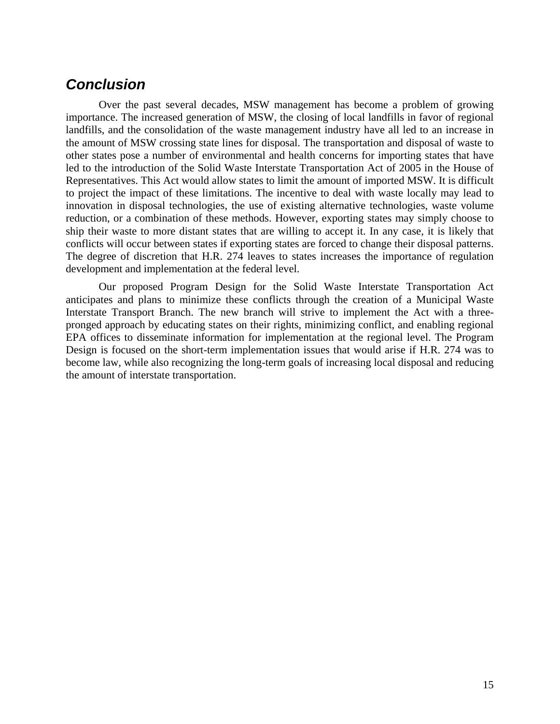### *Conclusion*

Over the past several decades, MSW management has become a problem of growing importance. The increased generation of MSW, the closing of local landfills in favor of regional landfills, and the consolidation of the waste management industry have all led to an increase in the amount of MSW crossing state lines for disposal. The transportation and disposal of waste to other states pose a number of environmental and health concerns for importing states that have led to the introduction of the Solid Waste Interstate Transportation Act of 2005 in the House of Representatives. This Act would allow states to limit the amount of imported MSW. It is difficult to project the impact of these limitations. The incentive to deal with waste locally may lead to innovation in disposal technologies, the use of existing alternative technologies, waste volume reduction, or a combination of these methods. However, exporting states may simply choose to ship their waste to more distant states that are willing to accept it. In any case, it is likely that conflicts will occur between states if exporting states are forced to change their disposal patterns. The degree of discretion that H.R. 274 leaves to states increases the importance of regulation development and implementation at the federal level.

Our proposed Program Design for the Solid Waste Interstate Transportation Act anticipates and plans to minimize these conflicts through the creation of a Municipal Waste Interstate Transport Branch. The new branch will strive to implement the Act with a threepronged approach by educating states on their rights, minimizing conflict, and enabling regional EPA offices to disseminate information for implementation at the regional level. The Program Design is focused on the short-term implementation issues that would arise if H.R. 274 was to become law, while also recognizing the long-term goals of increasing local disposal and reducing the amount of interstate transportation.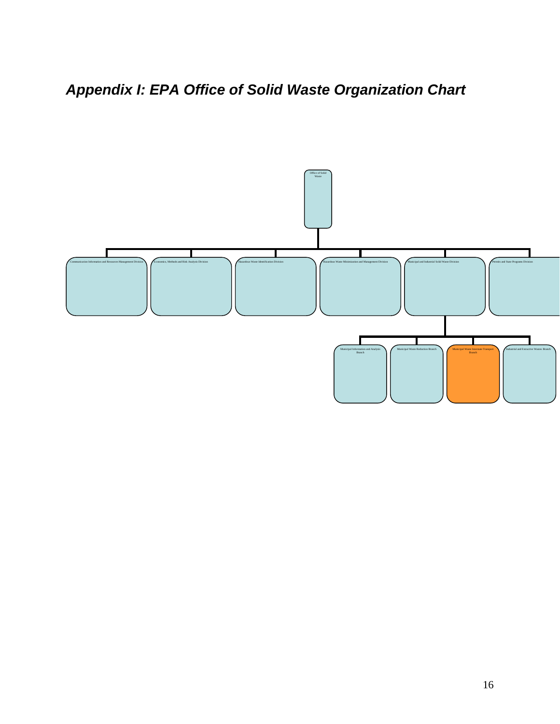*Appendix I: EPA Office of Solid Waste Organization Chart* 

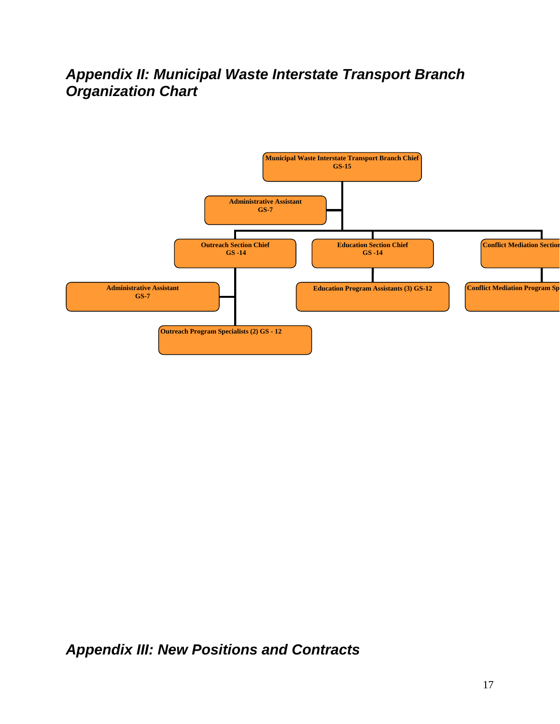# *Appendix II: Municipal Waste Interstate Transport Branch Organization Chart*



*Appendix III: New Positions and Contracts*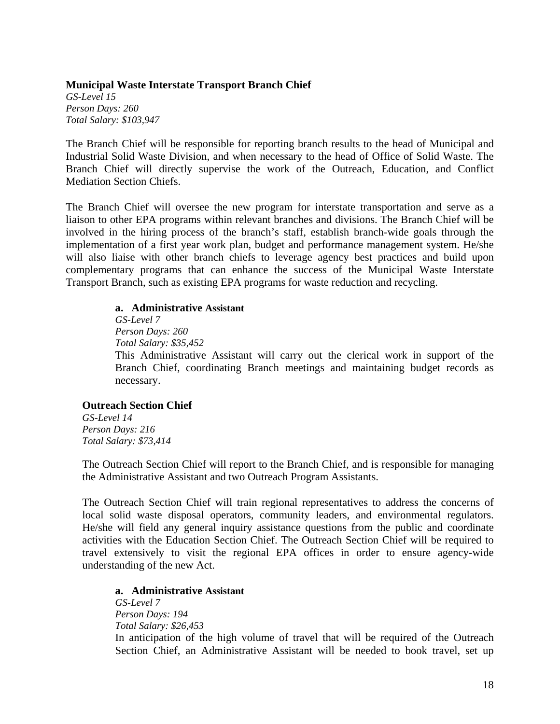#### **Municipal Waste Interstate Transport Branch Chief**

*GS-Level 15 Person Days: 260 Total Salary: \$103,947*

The Branch Chief will be responsible for reporting branch results to the head of Municipal and Industrial Solid Waste Division, and when necessary to the head of Office of Solid Waste. The Branch Chief will directly supervise the work of the Outreach, Education, and Conflict Mediation Section Chiefs.

The Branch Chief will oversee the new program for interstate transportation and serve as a liaison to other EPA programs within relevant branches and divisions. The Branch Chief will be involved in the hiring process of the branch's staff, establish branch-wide goals through the implementation of a first year work plan, budget and performance management system. He/she will also liaise with other branch chiefs to leverage agency best practices and build upon complementary programs that can enhance the success of the Municipal Waste Interstate Transport Branch, such as existing EPA programs for waste reduction and recycling.

#### **a. Administrative Assistant**

*52 Total Salary: \$35,4* This Administrative Assistant will carry out the clerical work in support of the *GS-Level 7 Person Days: 260* Branch Chief, coordinating Branch meetings and maintaining budget records as necessary.

#### **Outreach S ection Chief**

*4 Total Salary: \$73,41 GS-Level 14 Person Days: 216*

The Outreach Section Chief will report to the Branch Chief, and is responsible for managing the Administrative Assistant and two Outreach Program Assistants.

The Outreach Section Chief will train regional representatives to address the concerns of local solid waste disposal operators, community leaders, and environmental regulators. He/she will field any general inquiry assistance questions from the public and coordinate activities with the Education Section Chief. The Outreach Section Chief will be required to travel extensively to visit the regional EPA offices in order to ensure agency-wide understanding of the new Act.

#### **a. Administrative Assistant**

*53 Total Salary: \$26,4* In anticipation of the high volume of travel that will be required of the Outreach Section Chief, an Administrative Assistant will be needed to book travel, set up *GS-Level 7 Person Days: 194*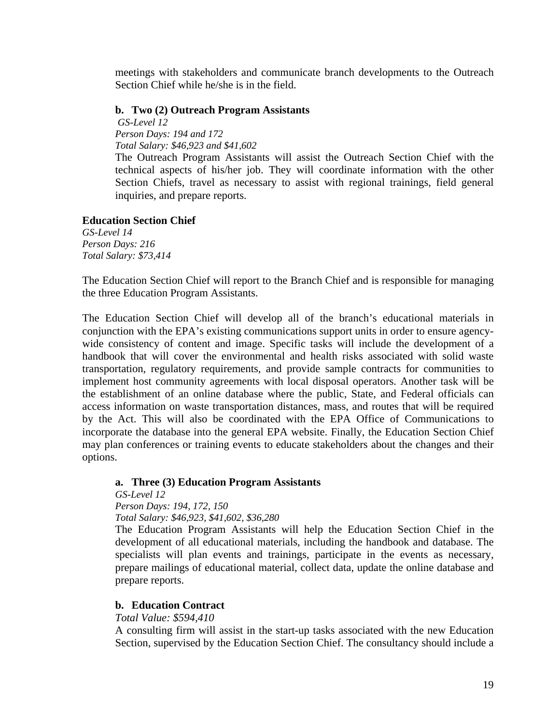meetings with stakeholders and communicate branch developments to the Outreach Section Chief while he/she is in the field.

#### **b. Two (2) Outreach Program Assistants**

*S-Level 12 G 46,923 and \$41,602 Total Salary: \$ Person Days: 194 and 172* 

The Outreach Program Assistants will assist the Outreach Section Chief with the technical aspects of his/her job. They will coordinate information with the other Section Chiefs, travel as necessary to assist with regional trainings, field general inquiries, and prepare reports.

#### **Educa tion Section Chief**

*S-Level 14 G \$73,414 Total Salary: Person Days: 216* 

The Education Section Chief will report to the Branch Chief and is responsible for managing the three Education Program Assistants.

The Education Section Chief will develop all of the branch's educational materials in conjunction with the EPA's existing communications support units in order to ensure agencywide consistency of content and image. Specific tasks will include the development of a handbook that will cover the environmental and health risks associated with solid waste transportation, regulatory requirements, and provide sample contracts for communities to implement host community agreements with local disposal operators. Another task will be the establishment of an online database where the public, State, and Federal officials can access information on waste transportation distances, mass, and routes that will be required by the Act. This will also be coordinated with the EPA Office of Communications to incorporate the database into the general EPA website. Finally, the Education Section Chief may plan conferences or training events to educate stakeholders about the changes and their options.

#### **Three (3) Education Program Assistants a.**

*GS-Level 12 \$46,923, \$41,602, \$36,280 Total Salary: Person Days: 194, 172, 150*

The Education Program Assistants will help the Education Section Chief in the development of all educational materials, including the handbook and database. The specialists will plan events and trainings, participate in the events as necessary, prepare mailings of educational material, collect data, update the online database and prepare reports.

#### **b.** Education Contract

*otal Value: \$594,410 T*

A consulting firm will assist in the start-up tasks associated with the new Education Section, supervised by the Education Section Chief. The consultancy should include a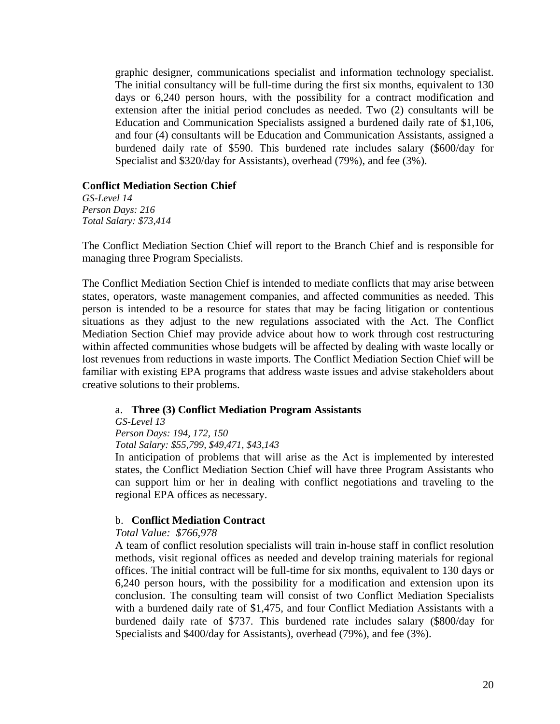graphic designer, communications specialist and information technology specialist. The initial consultancy will be full-time during the first six months, equivalent to 130 days or 6,240 person hours, with the possibility for a contract modification and extension after the initial period concludes as needed. Two (2) consultants will be Education and Communication Specialists assigned a burdened daily rate of \$1,106, and four (4) consultants will be Education and Communication Assistants, assigned a burdened daily rate of \$590. This burdened rate includes salary (\$600/day for Specialist and \$320/day for Assistants), overhead (79%), and fee (3%).

#### **Conflict Mediation Section Chief**

*S-Level 14 G \$73,414 Total Salary: Person Days: 216* 

The Conflict Mediation Section Chief will report to the Branch Chief and is responsible for managing three Program Specialists.

The Conflict Mediation Section Chief is intended to mediate conflicts that may arise between states, operators, waste management companies, and affected communities as needed. This person is intended to be a resource for states that may be facing litigation or contentious situations as they adjust to the new regulations associated with the Act. The Conflict Mediation Section Chief may provide advice about how to work through cost restructuring within affected communities whose budgets will be affected by dealing with waste locally or lost revenues from reductions in waste imports. The Conflict Mediation Section Chief will be familiar with existing EPA programs that address waste issues and advise stakeholders about creative solutions to their problems.

#### a. Three (3) Conflict Mediation Program Assistants

*GS-Level 13* 

*Person Days: 194, 172, 150*

*\$55,799, \$49,471, \$43,143 Total Salary:*

In anticipation of problems that will arise as the Act is implemented by interested states, the Conflict Mediation Section Chief will have three Program Assistants who can support him or her in dealing with conflict negotiations and traveling to the regional EPA offices as necessary.

#### b. **Conflict Mediation Contract**

#### *otal Value: \$766,978 T*

A team of conflict resolution specialists will train in-house staff in conflict resolution methods, visit regional offices as needed and develop training materials for regional offices. The initial contract will be full-time for six months, equivalent to 130 days or 6,240 person hours, with the possibility for a modification and extension upon its conclusion. The consulting team will consist of two Conflict Mediation Specialists with a burdened daily rate of \$1,475, and four Conflict Mediation Assistants with a burdened daily rate of \$737. This burdened rate includes salary (\$800/day for Specialists and \$400/day for Assistants), overhead (79%), and fee (3%).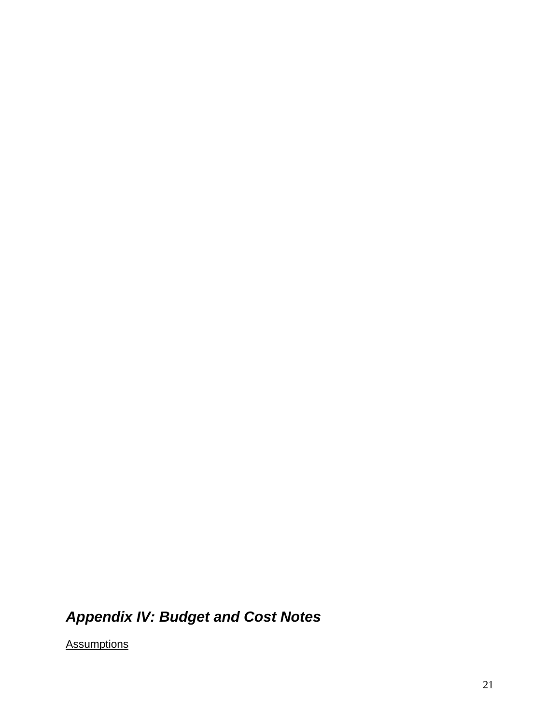# *ppendix IV: Budget and Cost Notes A*

Assumptions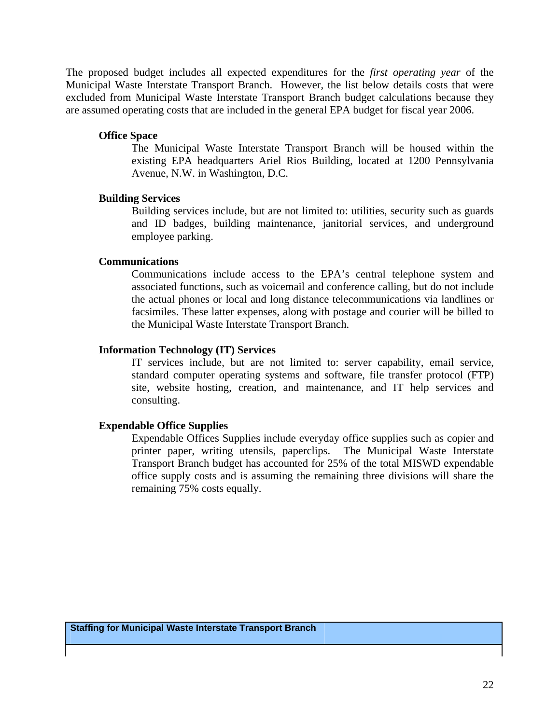The proposed budget includes all expected expenditures for the *first operating year* of the Municipal Waste Interstate Transport Branch. However, the list below details costs that were excluded from Municipal Waste Interstate Transport Branch budget calculations because they are assumed operating costs that are included in the general EPA budget for fiscal year 2006.

#### **Office Space**

existing EPA headquarters Ariel Rios Building, located at 1200 Pennsylvania Avenue, N.W. in Washington, D.C. The Municipal Waste Interstate Transport Branch will be housed within the

#### **Buildin g Services**

and ID badges, building maintenance, janitorial services, and underground Building services include, but are not limited to: utilities, security such as guards employee parking.

#### **Comm unications**

associated functions, such as voicemail and conference calling, but do not include the actual phones or local and long distance telecommunications via landlines or Communications include access to the EPA's central telephone system and facsimiles. These latter expenses, along with postage and courier will be billed to the Municipal Waste Interstate Transport Branch.

#### **Inform ation Technology (IT) Services**

standard computer operating systems and software, file transfer protocol (FTP) site, website hosting, creation, and maintenance, and IT help services and IT services include, but are not limited to: server capability, email service, consulting.

#### **Expen dable Office Supplies**

printer paper, writing utensils, paperclips. The Municipal Waste Interstate Transport Branch budget has accounted for 25% of the total MISWD expendable office supply costs and is assuming the remaining three divisions will share the Expendable Offices Supplies include everyday office supplies such as copier and remaining 75% costs equally.

**Staffing for Municipal Waste Interstate Transport Branch**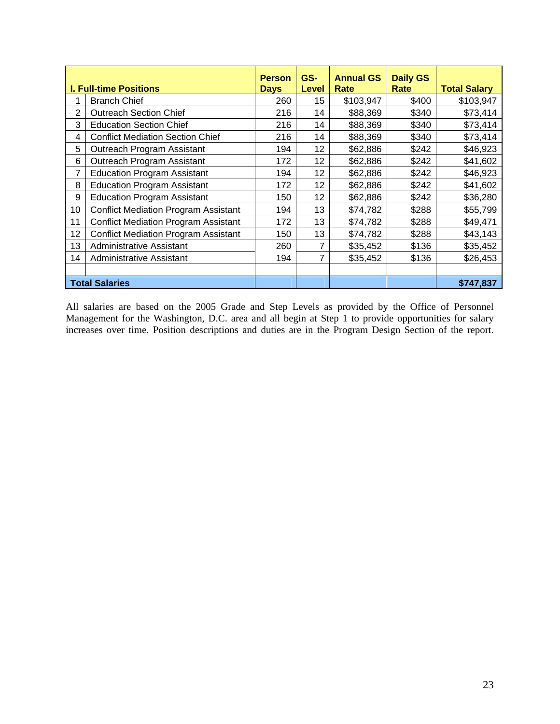|    | <b>I. Full-time Positions</b>               | <b>Person</b><br><b>Days</b> | GS-<br><b>Level</b> | <b>Annual GS</b><br>Rate | <b>Daily GS</b><br>Rate | <b>Total Salary</b> |
|----|---------------------------------------------|------------------------------|---------------------|--------------------------|-------------------------|---------------------|
|    | <b>Branch Chief</b>                         | 260                          | 15                  | \$103,947                | \$400                   | \$103,947           |
| 2  | <b>Outreach Section Chief</b>               | 216                          | 14                  | \$88,369                 | \$340                   | \$73,414            |
| 3  | <b>Education Section Chief</b>              | 216                          | 14                  | \$88,369                 | \$340                   | \$73,414            |
| 4  | <b>Conflict Mediation Section Chief</b>     | 216                          | 14                  | \$88,369                 | \$340                   | \$73,414            |
| 5  | Outreach Program Assistant                  | 194                          | 12 <sub>2</sub>     | \$62,886                 | \$242                   | \$46,923            |
| 6  | Outreach Program Assistant                  | 172                          | 12 <sub>2</sub>     | \$62,886                 | \$242                   | \$41,602            |
| 7  | <b>Education Program Assistant</b>          | 194                          | 12                  | \$62,886                 | \$242                   | \$46,923            |
| 8  | <b>Education Program Assistant</b>          | 172                          | 12                  | \$62,886                 | \$242                   | \$41,602            |
| 9  | <b>Education Program Assistant</b>          | 150                          | 12                  | \$62,886                 | \$242                   | \$36,280            |
| 10 | <b>Conflict Mediation Program Assistant</b> | 194                          | 13                  | \$74,782                 | \$288                   | \$55,799            |
| 11 | <b>Conflict Mediation Program Assistant</b> | 172                          | 13                  | \$74,782                 | \$288                   | \$49,471            |
| 12 | <b>Conflict Mediation Program Assistant</b> | 150                          | 13                  | \$74,782                 | \$288                   | \$43,143            |
| 13 | Administrative Assistant                    | 260                          | 7                   | \$35,452                 | \$136                   | \$35,452            |
| 14 | Administrative Assistant                    | 194                          | 7                   | \$35,452                 | \$136                   | \$26,453            |
|    |                                             |                              |                     |                          |                         |                     |
|    | <b>Total Salaries</b>                       |                              |                     |                          |                         | \$747,837           |

All salaries are based on the 2005 Grade and Step Levels as provided by the Office of Personnel Management for the Washington, D.C. area and all begin at Step 1 to provide opportunities for salary increases over time. Position descriptions and duties are in the Program Design Section of th in at Step 1 to provide opportunities gn Section of the report.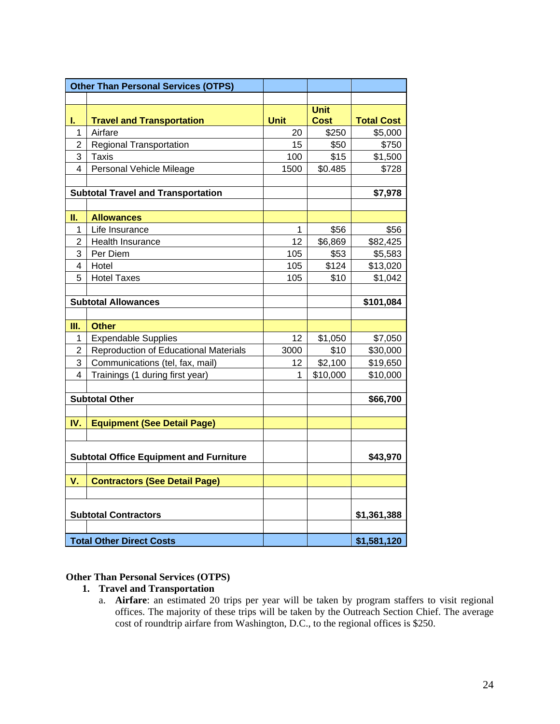|                             | <b>Other Than Personal Services (OTPS)</b>     |             |             |                   |
|-----------------------------|------------------------------------------------|-------------|-------------|-------------------|
|                             |                                                |             |             |                   |
|                             |                                                |             | <b>Unit</b> |                   |
| ı.                          | <b>Travel and Transportation</b>               | <b>Unit</b> | <b>Cost</b> | <b>Total Cost</b> |
| 1                           | Airfare                                        | 20          | \$250       | \$5,000           |
| $\overline{2}$              | <b>Regional Transportation</b>                 | 15          | \$50        | \$750             |
| 3                           | <b>Taxis</b>                                   | 100         | \$15        | \$1,500           |
| 4                           | Personal Vehicle Mileage                       | 1500        | \$0.485     | \$728             |
|                             |                                                |             |             |                   |
|                             | <b>Subtotal Travel and Transportation</b>      |             |             | \$7,978           |
| II.                         | <b>Allowances</b>                              |             |             |                   |
| 1                           | Life Insurance                                 | 1           | \$56        | \$56              |
| $\overline{2}$              | Health Insurance                               | 12          | \$6,869     | \$82,425          |
| 3                           | Per Diem                                       | 105         | \$53        | \$5,583           |
| 4                           | Hotel                                          | 105         | \$124       | \$13,020          |
| 5                           | <b>Hotel Taxes</b>                             | 105         | \$10        | \$1,042           |
|                             |                                                |             |             |                   |
| <b>Subtotal Allowances</b>  |                                                |             |             | \$101,084         |
|                             |                                                |             |             |                   |
| Ш.                          | <b>Other</b>                                   |             |             |                   |
| 1                           | <b>Expendable Supplies</b>                     | 12          | \$1,050     | \$7,050           |
| $\overline{2}$              | Reproduction of Educational Materials          | 3000        | \$10        | \$30,000          |
| 3                           | Communications (tel, fax, mail)                | 12          | \$2,100     | \$19,650          |
| 4                           | Trainings (1 during first year)                | 1           | \$10,000    | \$10,000          |
|                             |                                                |             |             |                   |
|                             | <b>Subtotal Other</b>                          |             |             | \$66,700          |
|                             |                                                |             |             |                   |
| IV.                         | <b>Equipment (See Detail Page)</b>             |             |             |                   |
|                             |                                                |             |             |                   |
|                             |                                                |             |             |                   |
|                             | <b>Subtotal Office Equipment and Furniture</b> |             |             | \$43,970          |
| V.                          | <b>Contractors (See Detail Page)</b>           |             |             |                   |
|                             |                                                |             |             |                   |
|                             |                                                |             |             |                   |
| <b>Subtotal Contractors</b> |                                                |             |             | \$1,361,388       |
|                             |                                                |             |             |                   |
|                             | <b>Total Other Direct Costs</b>                |             |             | \$1,581,120       |

#### **Other Than Personal Services (OTPS)**

### **1. Travel and Transportation**

a. **Airfare**: an estimated 20 trips per year will be taken by program staffers to visit regional offices. The majority of these trips will be taken by the Outreach Section Chief. The average cost of roundtrip airfare from Washington, D.C., to the regional offices is \$250.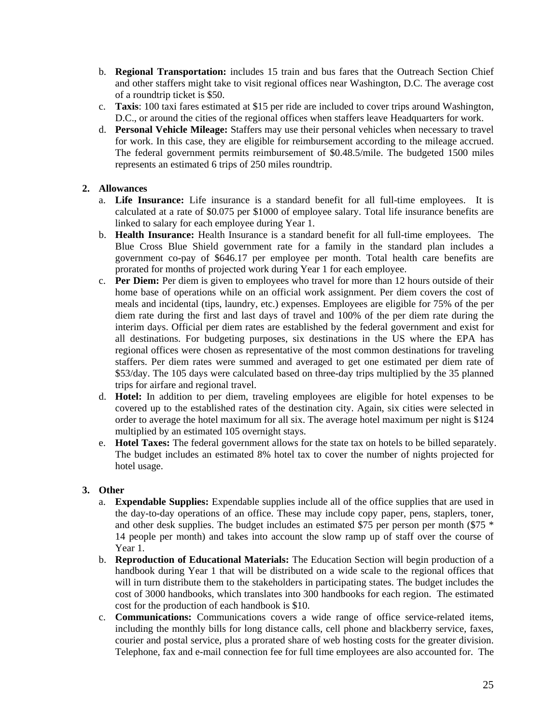- b. **Regional Transportation:** includes 15 train and bus fares that the Outreach Section Chief and other staffers might take to visit regional offices near Washington, D.C. The average cost of a roundtrip ticket is \$50.
- c. **Taxis**: 100 taxi fares estimated at \$15 per ride are included to cover trips around Washington, D.C., or around the cities of the regional offices when staffers leave Headquarters for work.
- d. **Personal Vehicle Mileage:** Staffers may use their personal vehicles when necessary to travel for work. In this case, they are eligible for reimbursement according to the mileage accrued. The federal government permits reimbursement of \$0.48.5/mile. The budgeted 1500 miles represents an estimated 6 trips of 250 miles roundtrip.

#### **2. Allowances**

- a. **Life Insurance:** Life insurance is a standard benefit for all full-time employees. It is calculated at a rate of \$0.075 per \$1000 of employee salary. Total life insurance benefits are linked to salary for each employee during Year 1.
- b. **Health Insurance:** Health Insurance is a standard benefit for all full-time employees. The Blue Cross Blue Shield government rate for a family in the standard plan includes a government co-pay of \$646.17 per employee per month. Total health care benefits are prorated for months of projected work during Year 1 for each employee.
- c. **Per Diem:** Per diem is given to employees who travel for more than 12 hours outside of their home base of operations while on an official work assignment. Per diem covers the cost of meals and incidental (tips, laundry, etc.) expenses. Employees are eligible for 75% of the per diem rate during the first and last days of travel and 100% of the per diem rate during the interim days. Official per diem rates are established by the federal government and exist for all destinations. For budgeting purposes, six destinations in the US where the EPA has regional offices were chosen as representative of the most common destinations for traveling staffers. Per diem rates were summed and averaged to get one estimated per diem rate of \$53/day. The 105 days were calculated based on three-day trips multiplied by the 35 planned trips for airfare and regional travel.
- d. **Hotel:** In addition to per diem, traveling employees are eligible for hotel expenses to be covered up to the established rates of the destination city. Again, six cities were selected in order to average the hotel maximum for all six. The average hotel maximum per night is \$124 multiplied by an estimated 105 overnight stays.
- e. **Hotel Taxes:** The federal government allows for the state tax on hotels to be billed separately. The budget includes an estimated 8% hotel tax to cover the number of nights projected for hotel usage.

#### **3. Other**

- a. **Expendable Supplies:** Expendable supplies include all of the office supplies that are used in the day-to-day operations of an office. These may include copy paper, pens, staplers, toner, and other desk supplies. The budget includes an estimated \$75 per person per month (\$75  $*$ 14 people per month) and takes into account the slow ramp up of staff over the course of Year 1.
- b. **Reproduction of Educational Materials:** The Education Section will begin production of a handbook during Year 1 that will be distributed on a wide scale to the regional offices that will in turn distribute them to the stakeholders in participating states. The budget includes the cost of 3000 handbooks, which translates into 300 handbooks for each region. The estimated cost for the production of each handbook is \$10.
- c. **Communications:** Communications covers a wide range of office service-related items, including the monthly bills for long distance calls, cell phone and blackberry service, faxes, courier and postal service, plus a prorated share of web hosting costs for the greater division. Telephone, fax and e-mail connection fee for full time employees are also accounted for. The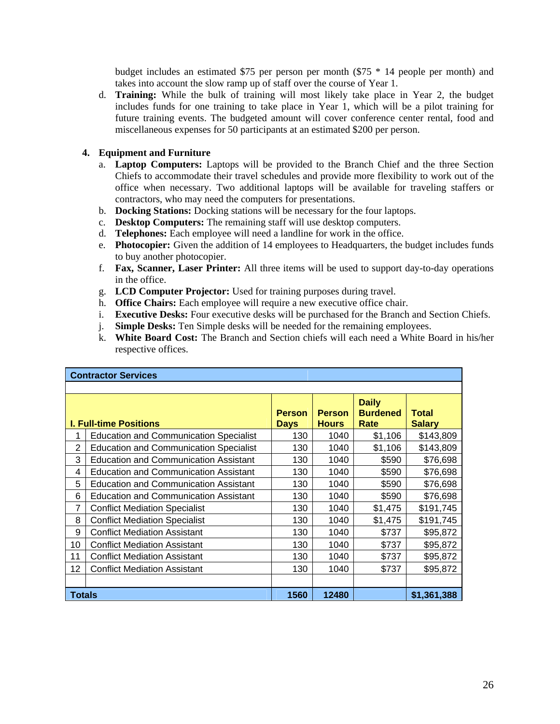budget includes an estimated \$75 per person per month (\$75 \* 14 people per month) and takes into account the slow ramp up of staff over the course of Year 1.

d. **Training:** While the bulk of training will most likely take place in Year 2, the budget includes funds for one training to take place in Year 1, which will be a pilot training for future training events. The budgeted amount will cover conference center rental, food and miscellaneous expenses for 50 participants at an estimated \$200 per person.

#### **4. Equipment and Furniture**

- a. **Laptop Computers:** Laptops will be provided to the Branch Chief and the three Section Chiefs to accommodate their travel schedules and provide more flexibility to work out of the office when necessary. Two additional laptops will be available for traveling staffers or contractors, who may need the computers for presentations.
- b. **Docking Stations:** Docking stations will be necessary for the four laptops.
- c. **Desktop Computers:** The remaining staff will use desktop computers.
- d. **Telephones:** Each employee will need a landline for work in the office.
- e. **Photocopier:** Given the addition of 14 employees to Headquarters, the budget includes funds to buy another photocopier.
- f. **Fax, Scanner, Laser Printer:** All three items will be used to support day-to-day operations in the office.
- g. **LCD Computer Projector:** Used for training purposes during travel.
- h. **Office Chairs:** Each employee will require a new executive office chair.
- i. **Executive Desks:** Four executive desks will be purchased for the Branch and Section Chiefs.
- j. **Simple Desks:** Ten Simple desks will be needed for the remaining employees.
- k. **White Board Cost:** The Branch and Section chiefs will each need a White Board in his/her respective offices.

|                | <b>Contractor Services</b>                    |                              |                               |                                         |                               |  |
|----------------|-----------------------------------------------|------------------------------|-------------------------------|-----------------------------------------|-------------------------------|--|
|                |                                               |                              |                               |                                         |                               |  |
|                | <b>I. Full-time Positions</b>                 | <b>Person</b><br><b>Days</b> | <b>Person</b><br><b>Hours</b> | <b>Daily</b><br><b>Burdened</b><br>Rate | <b>Total</b><br><b>Salary</b> |  |
| 1              | <b>Education and Communication Specialist</b> | 130                          | 1040                          | \$1,106                                 | \$143,809                     |  |
| $\overline{2}$ | <b>Education and Communication Specialist</b> | 130                          | 1040                          | \$1,106                                 | \$143,809                     |  |
| 3              | <b>Education and Communication Assistant</b>  | 130                          | 1040                          | \$590                                   | \$76,698                      |  |
| 4              | <b>Education and Communication Assistant</b>  | 130                          | 1040                          | \$590                                   | \$76,698                      |  |
| 5              | <b>Education and Communication Assistant</b>  | 130                          | 1040                          | \$590                                   | \$76,698                      |  |
| 6              | <b>Education and Communication Assistant</b>  | 130                          | 1040                          | \$590                                   | \$76,698                      |  |
| 7              | <b>Conflict Mediation Specialist</b>          | 130                          | 1040                          | \$1,475                                 | \$191,745                     |  |
| 8              | <b>Conflict Mediation Specialist</b>          | 130                          | 1040                          | \$1,475                                 | \$191,745                     |  |
| 9              | <b>Conflict Mediation Assistant</b>           | 130                          | 1040                          | \$737                                   | \$95,872                      |  |
| 10             | <b>Conflict Mediation Assistant</b>           | 130                          | 1040                          | \$737                                   | \$95,872                      |  |
| 11             | <b>Conflict Mediation Assistant</b>           | 130                          | 1040                          | \$737                                   | \$95,872                      |  |
| 12             | <b>Conflict Mediation Assistant</b>           | 130                          | 1040                          | \$737                                   | \$95,872                      |  |
|                |                                               |                              |                               |                                         |                               |  |
|                | 1560<br>12480<br>\$1,361,388<br>Totals        |                              |                               |                                         |                               |  |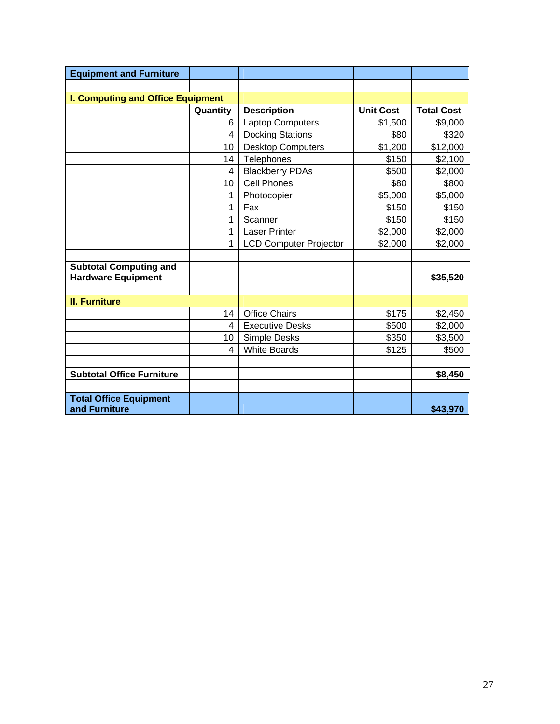| <b>Equipment and Furniture</b>                             |          |                               |                  |                   |
|------------------------------------------------------------|----------|-------------------------------|------------------|-------------------|
|                                                            |          |                               |                  |                   |
| <b>I. Computing and Office Equipment</b>                   |          |                               |                  |                   |
|                                                            | Quantity | <b>Description</b>            | <b>Unit Cost</b> | <b>Total Cost</b> |
|                                                            | 6        | <b>Laptop Computers</b>       | \$1,500          | \$9,000           |
|                                                            | 4        | <b>Docking Stations</b>       | \$80             | \$320             |
|                                                            | 10       | <b>Desktop Computers</b>      | \$1,200          | \$12,000          |
|                                                            | 14       | Telephones                    | \$150            | \$2,100           |
|                                                            | 4        | <b>Blackberry PDAs</b>        | \$500            | \$2,000           |
|                                                            | 10       | <b>Cell Phones</b>            | \$80             | \$800             |
|                                                            | 1        | Photocopier                   | \$5,000          | \$5,000           |
|                                                            | 1        | Fax                           | \$150            | \$150             |
|                                                            | 1        | Scanner                       | \$150            | \$150             |
|                                                            | 1        | <b>Laser Printer</b>          | \$2,000          | \$2,000           |
|                                                            | 1        | <b>LCD Computer Projector</b> | \$2,000          | \$2,000           |
| <b>Subtotal Computing and</b><br><b>Hardware Equipment</b> |          |                               |                  | \$35,520          |
|                                                            |          |                               |                  |                   |
| <b>II. Furniture</b>                                       |          |                               |                  |                   |
|                                                            | 14       | <b>Office Chairs</b>          | \$175            | \$2,450           |
|                                                            | 4        | <b>Executive Desks</b>        | \$500            | \$2,000           |
|                                                            | 10       | Simple Desks                  | \$350            | \$3,500           |
|                                                            | 4        | <b>White Boards</b>           | \$125            | \$500             |
| <b>Subtotal Office Furniture</b>                           |          |                               |                  | \$8,450           |
| <b>Total Office Equipment</b><br>and Furniture             |          |                               |                  | \$43,970          |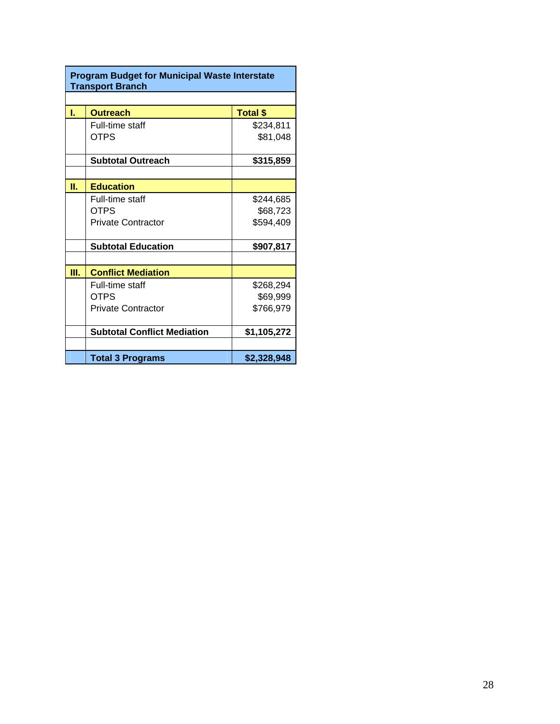|    | <b>Program Budget for Municipal Waste Interstate</b><br><b>Transport Branch</b> |                 |  |  |
|----|---------------------------------------------------------------------------------|-----------------|--|--|
|    |                                                                                 |                 |  |  |
| ī. | <b>Outreach</b>                                                                 | <b>Total \$</b> |  |  |
|    | Full-time staff                                                                 | \$234,811       |  |  |
|    | <b>OTPS</b>                                                                     | \$81,048        |  |  |
|    | <b>Subtotal Outreach</b>                                                        | \$315,859       |  |  |
|    |                                                                                 |                 |  |  |
| П. | <b>Education</b>                                                                |                 |  |  |
|    | Full-time staff                                                                 | \$244,685       |  |  |
|    | OTPS                                                                            | \$68,723        |  |  |
|    | <b>Private Contractor</b>                                                       | \$594,409       |  |  |
|    | <b>Subtotal Education</b>                                                       | \$907,817       |  |  |
|    |                                                                                 |                 |  |  |
| Ш. | <b>Conflict Mediation</b>                                                       |                 |  |  |
|    | Full-time staff                                                                 | \$268,294       |  |  |
|    | <b>OTPS</b>                                                                     | \$69,999        |  |  |
|    | <b>Private Contractor</b>                                                       | \$766,979       |  |  |
|    | <b>Subtotal Conflict Mediation</b>                                              | \$1,105,272     |  |  |
|    |                                                                                 |                 |  |  |
|    | <b>Total 3 Programs</b>                                                         | \$2,328,948     |  |  |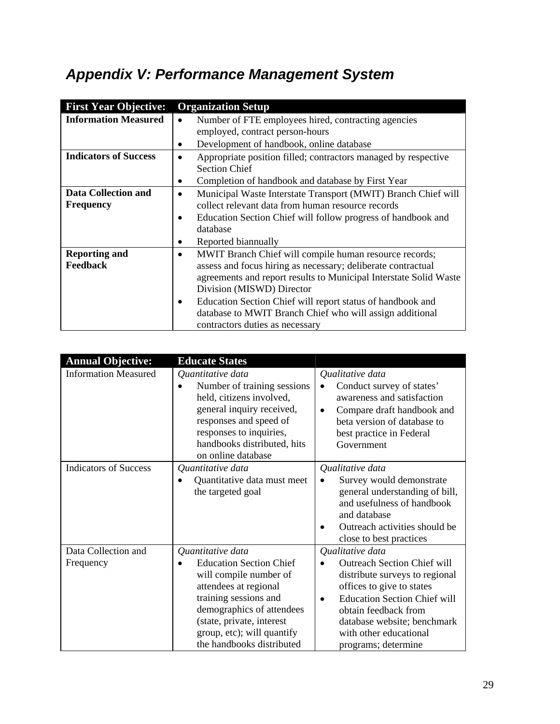# *Appendix V: Performance Management System*

| <b>First Year Objective:</b> | <b>Organization Setup</b>                                          |  |  |
|------------------------------|--------------------------------------------------------------------|--|--|
| <b>Information Measured</b>  | Number of FTE employees hired, contracting agencies                |  |  |
|                              | employed, contract person-hours                                    |  |  |
|                              | Development of handbook, online database                           |  |  |
| <b>Indicators of Success</b> | Appropriate position filled; contractors managed by respective     |  |  |
|                              | <b>Section Chief</b>                                               |  |  |
|                              | Completion of handbook and database by First Year                  |  |  |
| Data Collection and          | Municipal Waste Interstate Transport (MWIT) Branch Chief will<br>٠ |  |  |
| <b>Frequency</b>             | collect relevant data from human resource records                  |  |  |
|                              | Education Section Chief will follow progress of handbook and       |  |  |
|                              | database                                                           |  |  |
|                              | Reported biannually                                                |  |  |
| <b>Reporting and</b>         | MWIT Branch Chief will compile human resource records;<br>٠        |  |  |
| Feedback                     | assess and focus hiring as necessary; deliberate contractual       |  |  |
|                              | agreements and report results to Municipal Interstate Solid Waste  |  |  |
|                              | Division (MISWD) Director                                          |  |  |
|                              | Education Section Chief will report status of handbook and         |  |  |
|                              | database to MWIT Branch Chief who will assign additional           |  |  |
|                              | contractors duties as necessary                                    |  |  |

| <b>Annual Objective:</b>         | <b>Educate States</b>                                                                                                                                                                                                                                |                                                                                                                                                                                                                                                                                   |
|----------------------------------|------------------------------------------------------------------------------------------------------------------------------------------------------------------------------------------------------------------------------------------------------|-----------------------------------------------------------------------------------------------------------------------------------------------------------------------------------------------------------------------------------------------------------------------------------|
| <b>Information Measured</b>      | Quantitative data<br>Number of training sessions<br>held, citizens involved,<br>general inquiry received,<br>responses and speed of<br>responses to inquiries,<br>handbooks distributed, hits<br>on online database                                  | Qualitative data<br>Conduct survey of states'<br>$\bullet$<br>awareness and satisfaction<br>Compare draft handbook and<br>$\bullet$<br>beta version of database to<br>best practice in Federal<br>Government                                                                      |
| <b>Indicators of Success</b>     | Quantitative data<br>Quantitative data must meet<br>the targeted goal                                                                                                                                                                                | Qualitative data<br>Survey would demonstrate<br>$\bullet$<br>general understanding of bill,<br>and usefulness of handbook<br>and database<br>Outreach activities should be<br>close to best practices                                                                             |
| Data Collection and<br>Frequency | Quantitative data<br><b>Education Section Chief</b><br>will compile number of<br>attendees at regional<br>training sessions and<br>demographics of attendees<br>(state, private, interest<br>group, etc); will quantify<br>the handbooks distributed | Qualitative data<br><b>Outreach Section Chief will</b><br>distribute surveys to regional<br>offices to give to states<br><b>Education Section Chief will</b><br>$\bullet$<br>obtain feedback from<br>database website; benchmark<br>with other educational<br>programs; determine |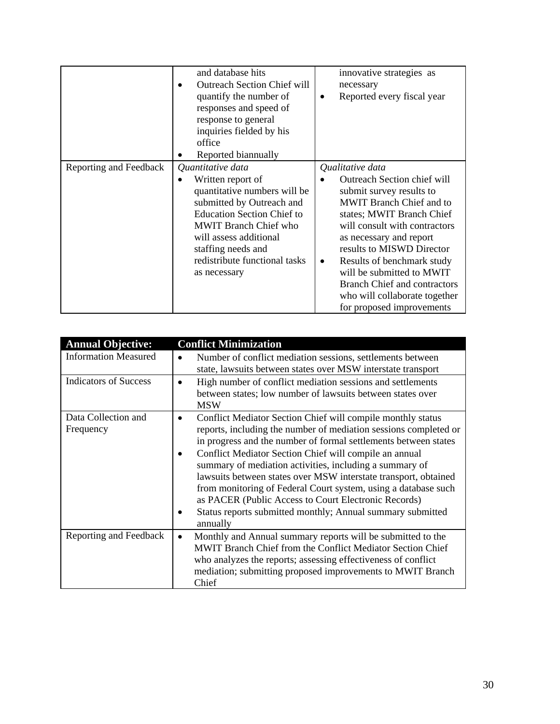|                        | and database hits<br><b>Outreach Section Chief will</b><br>quantify the number of<br>responses and speed of<br>response to general<br>inquiries fielded by his<br>office<br>Reported biannually                                                                           | innovative strategies as<br>necessary<br>Reported every fiscal year                                                                                                                                                                                                                                                                                                                                |
|------------------------|---------------------------------------------------------------------------------------------------------------------------------------------------------------------------------------------------------------------------------------------------------------------------|----------------------------------------------------------------------------------------------------------------------------------------------------------------------------------------------------------------------------------------------------------------------------------------------------------------------------------------------------------------------------------------------------|
| Reporting and Feedback | Quantitative data<br>Written report of<br>quantitative numbers will be<br>submitted by Outreach and<br><b>Education Section Chief to</b><br><b>MWIT Branch Chief who</b><br>will assess additional<br>staffing needs and<br>redistribute functional tasks<br>as necessary | Qualitative data<br>Outreach Section chief will<br>submit survey results to<br>MWIT Branch Chief and to<br>states; MWIT Branch Chief<br>will consult with contractors<br>as necessary and report<br>results to MISWD Director<br>Results of benchmark study<br>٠<br>will be submitted to MWIT<br><b>Branch Chief and contractors</b><br>who will collaborate together<br>for proposed improvements |

| <b>Annual Objective:</b>         | <b>Conflict Minimization</b>                                                                                                                                                                                                                                                                                                                                                                                                                                                                                                                                                                                |
|----------------------------------|-------------------------------------------------------------------------------------------------------------------------------------------------------------------------------------------------------------------------------------------------------------------------------------------------------------------------------------------------------------------------------------------------------------------------------------------------------------------------------------------------------------------------------------------------------------------------------------------------------------|
| <b>Information Measured</b>      | Number of conflict mediation sessions, settlements between<br>state, lawsuits between states over MSW interstate transport                                                                                                                                                                                                                                                                                                                                                                                                                                                                                  |
| <b>Indicators of Success</b>     | High number of conflict mediation sessions and settlements<br>between states; low number of lawsuits between states over<br><b>MSW</b>                                                                                                                                                                                                                                                                                                                                                                                                                                                                      |
| Data Collection and<br>Frequency | Conflict Mediator Section Chief will compile monthly status<br>$\bullet$<br>reports, including the number of mediation sessions completed or<br>in progress and the number of formal settlements between states<br>Conflict Mediator Section Chief will compile an annual<br>summary of mediation activities, including a summary of<br>lawsuits between states over MSW interstate transport, obtained<br>from monitoring of Federal Court system, using a database such<br>as PACER (Public Access to Court Electronic Records)<br>Status reports submitted monthly; Annual summary submitted<br>annually |
| Reporting and Feedback           | Monthly and Annual summary reports will be submitted to the<br>$\bullet$<br>MWIT Branch Chief from the Conflict Mediator Section Chief<br>who analyzes the reports; assessing effectiveness of conflict<br>mediation; submitting proposed improvements to MWIT Branch<br>Chief                                                                                                                                                                                                                                                                                                                              |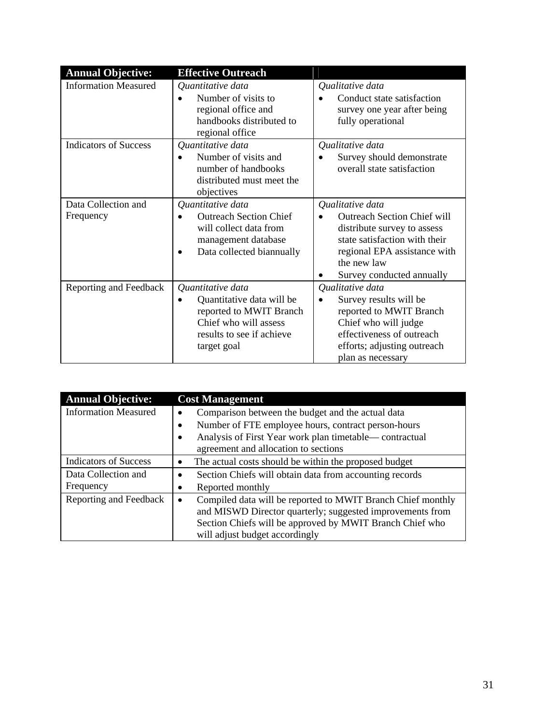| <b>Annual Objective:</b>         | <b>Effective Outreach</b>                                                                                                                      |                                                                                                                                                                                                    |
|----------------------------------|------------------------------------------------------------------------------------------------------------------------------------------------|----------------------------------------------------------------------------------------------------------------------------------------------------------------------------------------------------|
| <b>Information Measured</b>      | Quantitative data<br>Number of visits to<br>regional office and<br>handbooks distributed to<br>regional office                                 | Qualitative data<br>Conduct state satisfaction<br>survey one year after being<br>fully operational                                                                                                 |
| <b>Indicators of Success</b>     | Quantitative data<br>Number of visits and<br>number of handbooks<br>distributed must meet the<br>objectives                                    | Qualitative data<br>Survey should demonstrate<br>overall state satisfaction                                                                                                                        |
| Data Collection and<br>Frequency | Quantitative data<br><b>Outreach Section Chief</b><br>will collect data from<br>management database<br>Data collected biannually               | Qualitative data<br><b>Outreach Section Chief will</b><br>distribute survey to assess<br>state satisfaction with their<br>regional EPA assistance with<br>the new law<br>Survey conducted annually |
| Reporting and Feedback           | Quantitative data<br>Quantitative data will be<br>reported to MWIT Branch<br>Chief who will assess<br>results to see if achieve<br>target goal | Qualitative data<br>Survey results will be<br>reported to MWIT Branch<br>Chief who will judge<br>effectiveness of outreach<br>efforts; adjusting outreach<br>plan as necessary                     |

| <b>Annual Objective:</b>     | <b>Cost Management</b>                                                   |
|------------------------------|--------------------------------------------------------------------------|
| <b>Information Measured</b>  | Comparison between the budget and the actual data                        |
|                              | Number of FTE employee hours, contract person-hours                      |
|                              | Analysis of First Year work plan timetable—contractual<br>$\bullet$      |
|                              | agreement and allocation to sections                                     |
| <b>Indicators of Success</b> | The actual costs should be within the proposed budget                    |
| Data Collection and          | Section Chiefs will obtain data from accounting records<br>٠             |
| Frequency                    | Reported monthly                                                         |
| Reporting and Feedback       | Compiled data will be reported to MWIT Branch Chief monthly<br>$\bullet$ |
|                              | and MISWD Director quarterly; suggested improvements from                |
|                              | Section Chiefs will be approved by MWIT Branch Chief who                 |
|                              | will adjust budget accordingly                                           |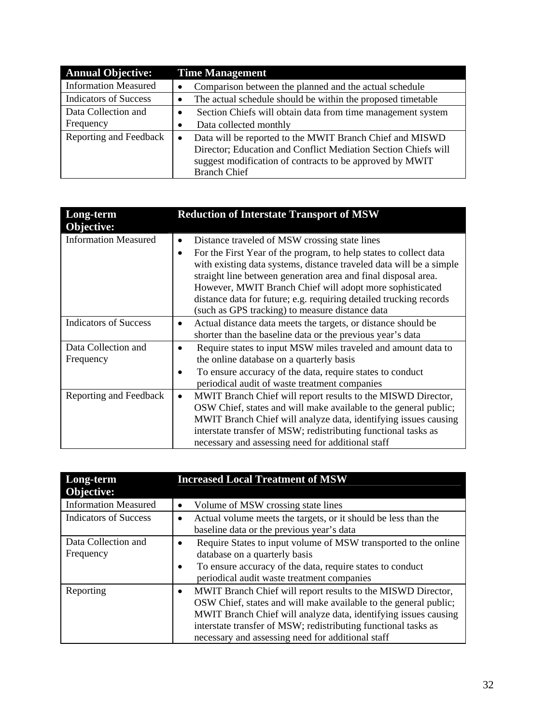| <b>Annual Objective:</b>         | <b>Time Management</b>                                                                                                                                                                                                     |
|----------------------------------|----------------------------------------------------------------------------------------------------------------------------------------------------------------------------------------------------------------------------|
| <b>Information Measured</b>      | Comparison between the planned and the actual schedule                                                                                                                                                                     |
| <b>Indicators of Success</b>     | The actual schedule should be within the proposed timetable                                                                                                                                                                |
| Data Collection and<br>Frequency | Section Chiefs will obtain data from time management system<br>Data collected monthly                                                                                                                                      |
| Reporting and Feedback           | Data will be reported to the MWIT Branch Chief and MISWD<br>$\bullet$<br>Director; Education and Conflict Mediation Section Chiefs will<br>suggest modification of contracts to be approved by MWIT<br><b>Branch Chief</b> |

| Long-term<br>Objective:          | <b>Reduction of Interstate Transport of MSW</b>                                                                                                                                                                                                                                                                                                                                                                                                               |
|----------------------------------|---------------------------------------------------------------------------------------------------------------------------------------------------------------------------------------------------------------------------------------------------------------------------------------------------------------------------------------------------------------------------------------------------------------------------------------------------------------|
| <b>Information Measured</b>      | Distance traveled of MSW crossing state lines<br>$\bullet$<br>For the First Year of the program, to help states to collect data<br>with existing data systems, distance traveled data will be a simple<br>straight line between generation area and final disposal area.<br>However, MWIT Branch Chief will adopt more sophisticated<br>distance data for future; e.g. requiring detailed trucking records<br>(such as GPS tracking) to measure distance data |
| <b>Indicators of Success</b>     | Actual distance data meets the targets, or distance should be<br>shorter than the baseline data or the previous year's data                                                                                                                                                                                                                                                                                                                                   |
| Data Collection and<br>Frequency | Require states to input MSW miles traveled and amount data to<br>the online database on a quarterly basis<br>To ensure accuracy of the data, require states to conduct<br>periodical audit of waste treatment companies                                                                                                                                                                                                                                       |
| Reporting and Feedback           | MWIT Branch Chief will report results to the MISWD Director,<br>$\bullet$<br>OSW Chief, states and will make available to the general public;<br>MWIT Branch Chief will analyze data, identifying issues causing<br>interstate transfer of MSW; redistributing functional tasks as<br>necessary and assessing need for additional staff                                                                                                                       |

| Long-term<br>Objective:          | <b>Increased Local Treatment of MSW</b>                                                                                                                                                                                                                                                                                                 |
|----------------------------------|-----------------------------------------------------------------------------------------------------------------------------------------------------------------------------------------------------------------------------------------------------------------------------------------------------------------------------------------|
| <b>Information Measured</b>      | Volume of MSW crossing state lines                                                                                                                                                                                                                                                                                                      |
| <b>Indicators of Success</b>     | Actual volume meets the targets, or it should be less than the<br>٠<br>baseline data or the previous year's data                                                                                                                                                                                                                        |
| Data Collection and<br>Frequency | Require States to input volume of MSW transported to the online<br>database on a quarterly basis<br>To ensure accuracy of the data, require states to conduct<br>$\bullet$<br>periodical audit waste treatment companies                                                                                                                |
| Reporting                        | MWIT Branch Chief will report results to the MISWD Director,<br>$\bullet$<br>OSW Chief, states and will make available to the general public;<br>MWIT Branch Chief will analyze data, identifying issues causing<br>interstate transfer of MSW; redistributing functional tasks as<br>necessary and assessing need for additional staff |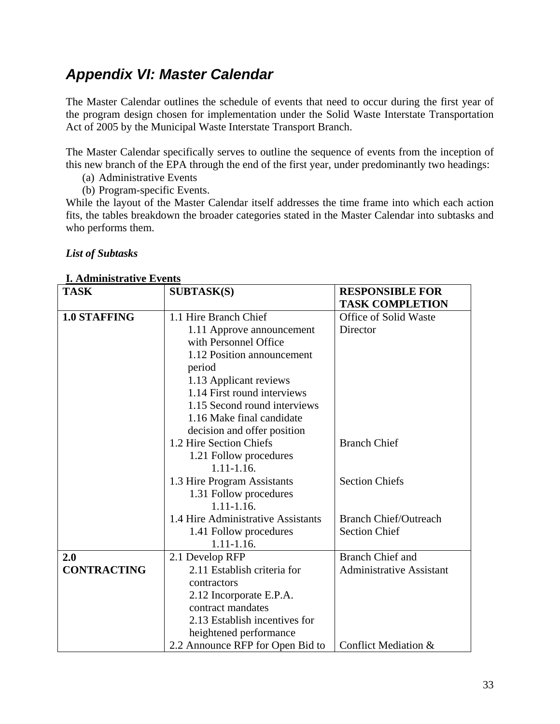# *Appendix VI: Master Calendar*

The Master Calendar outlines the schedule of events that need to occur during the first year of the program design chosen for implementation under the Solid Waste Interstate Transportation Act of 2005 by the Municipal Waste Interstate Transport Branch.

The Master Calendar specifically serves to outline the sequence of events from the inception of this new branch of the EPA through the end of the first year, under predominantly two headings:

(a) Administrative Events

(b) Program-specific Events.

While the layout of the Master Calendar itself addresses the time frame into which each action fits, the tables breakdown the broader categories stated in the Master Calendar into subtasks and who performs them.

### *List of Subtasks*

| <b>1. Administrative Events</b> |                                    |                                 |
|---------------------------------|------------------------------------|---------------------------------|
| <b>TASK</b>                     | <b>SUBTASK(S)</b>                  | <b>RESPONSIBLE FOR</b>          |
|                                 |                                    | <b>TASK COMPLETION</b>          |
| <b>1.0 STAFFING</b>             | 1.1 Hire Branch Chief              | Office of Solid Waste           |
|                                 | 1.11 Approve announcement          | Director                        |
|                                 | with Personnel Office              |                                 |
|                                 | 1.12 Position announcement         |                                 |
|                                 | period                             |                                 |
|                                 | 1.13 Applicant reviews             |                                 |
|                                 | 1.14 First round interviews        |                                 |
|                                 | 1.15 Second round interviews       |                                 |
|                                 | 1.16 Make final candidate          |                                 |
|                                 | decision and offer position        |                                 |
|                                 | 1.2 Hire Section Chiefs            | <b>Branch Chief</b>             |
|                                 | 1.21 Follow procedures             |                                 |
|                                 | $1.11 - 1.16.$                     |                                 |
|                                 | 1.3 Hire Program Assistants        | <b>Section Chiefs</b>           |
|                                 | 1.31 Follow procedures             |                                 |
|                                 | $1.11 - 1.16.$                     |                                 |
|                                 | 1.4 Hire Administrative Assistants | <b>Branch Chief/Outreach</b>    |
|                                 | 1.41 Follow procedures             | <b>Section Chief</b>            |
|                                 | $1.11 - 1.16$ .                    |                                 |
| 2.0                             | 2.1 Develop RFP                    | <b>Branch Chief and</b>         |
| <b>CONTRACTING</b>              | 2.11 Establish criteria for        | <b>Administrative Assistant</b> |
|                                 | contractors                        |                                 |
|                                 | 2.12 Incorporate E.P.A.            |                                 |
|                                 | contract mandates                  |                                 |
|                                 | 2.13 Establish incentives for      |                                 |
|                                 | heightened performance             |                                 |
|                                 | 2.2 Announce RFP for Open Bid to   | Conflict Mediation &            |

## **I. Administrative Events**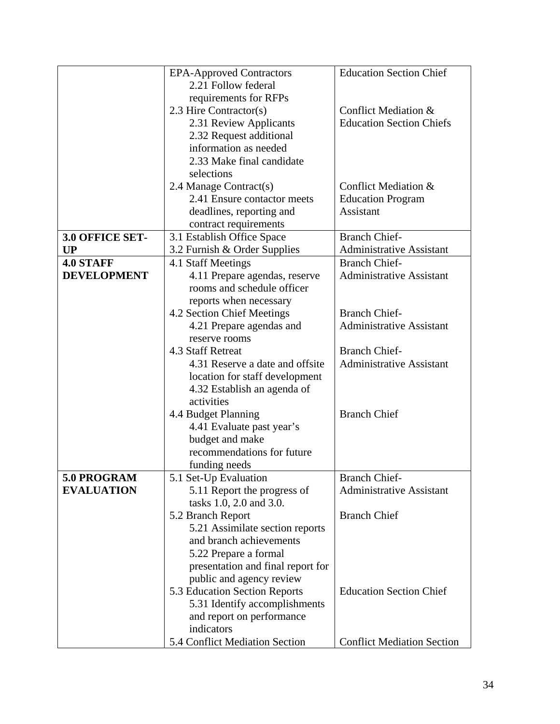|                    | <b>EPA-Approved Contractors</b>                       | <b>Education Section Chief</b>        |  |  |  |  |
|--------------------|-------------------------------------------------------|---------------------------------------|--|--|--|--|
|                    | 2.21 Follow federal                                   |                                       |  |  |  |  |
|                    | requirements for RFPs                                 |                                       |  |  |  |  |
|                    | 2.3 Hire Contractor(s)                                | Conflict Mediation &                  |  |  |  |  |
|                    | 2.31 Review Applicants                                | <b>Education Section Chiefs</b>       |  |  |  |  |
|                    | 2.32 Request additional                               |                                       |  |  |  |  |
|                    | information as needed                                 |                                       |  |  |  |  |
|                    | 2.33 Make final candidate                             |                                       |  |  |  |  |
|                    | selections                                            |                                       |  |  |  |  |
|                    |                                                       | Conflict Mediation &                  |  |  |  |  |
|                    | 2.4 Manage Contract(s)<br>2.41 Ensure contactor meets |                                       |  |  |  |  |
|                    |                                                       | <b>Education Program</b><br>Assistant |  |  |  |  |
|                    | deadlines, reporting and                              |                                       |  |  |  |  |
|                    | contract requirements                                 |                                       |  |  |  |  |
| 3.0 OFFICE SET-    | 3.1 Establish Office Space                            | <b>Branch Chief-</b>                  |  |  |  |  |
| <b>UP</b>          | 3.2 Furnish & Order Supplies                          | <b>Administrative Assistant</b>       |  |  |  |  |
| <b>4.0 STAFF</b>   | 4.1 Staff Meetings                                    | <b>Branch Chief-</b>                  |  |  |  |  |
| <b>DEVELOPMENT</b> | 4.11 Prepare agendas, reserve                         | <b>Administrative Assistant</b>       |  |  |  |  |
|                    | rooms and schedule officer                            |                                       |  |  |  |  |
|                    | reports when necessary                                |                                       |  |  |  |  |
|                    | 4.2 Section Chief Meetings                            | <b>Branch Chief-</b>                  |  |  |  |  |
|                    | 4.21 Prepare agendas and                              | <b>Administrative Assistant</b>       |  |  |  |  |
|                    | reserve rooms                                         |                                       |  |  |  |  |
|                    | 4.3 Staff Retreat                                     | <b>Branch Chief-</b>                  |  |  |  |  |
|                    | 4.31 Reserve a date and offsite                       | <b>Administrative Assistant</b>       |  |  |  |  |
|                    | location for staff development                        |                                       |  |  |  |  |
|                    | 4.32 Establish an agenda of                           |                                       |  |  |  |  |
|                    | activities                                            |                                       |  |  |  |  |
|                    | 4.4 Budget Planning                                   | <b>Branch Chief</b>                   |  |  |  |  |
|                    | 4.41 Evaluate past year's                             |                                       |  |  |  |  |
|                    | budget and make                                       |                                       |  |  |  |  |
|                    | recommendations for future                            |                                       |  |  |  |  |
|                    | funding needs                                         |                                       |  |  |  |  |
| 5.0 PROGRAM        | 5.1 Set-Up Evaluation                                 | <b>Branch Chief-</b>                  |  |  |  |  |
| <b>EVALUATION</b>  | 5.11 Report the progress of                           | <b>Administrative Assistant</b>       |  |  |  |  |
|                    | tasks 1.0, 2.0 and 3.0.                               |                                       |  |  |  |  |
|                    | 5.2 Branch Report                                     | <b>Branch Chief</b>                   |  |  |  |  |
|                    | 5.21 Assimilate section reports                       |                                       |  |  |  |  |
|                    | and branch achievements                               |                                       |  |  |  |  |
|                    | 5.22 Prepare a formal                                 |                                       |  |  |  |  |
|                    | presentation and final report for                     |                                       |  |  |  |  |
|                    | public and agency review                              |                                       |  |  |  |  |
|                    | 5.3 Education Section Reports                         | <b>Education Section Chief</b>        |  |  |  |  |
|                    | 5.31 Identify accomplishments                         |                                       |  |  |  |  |
|                    | and report on performance                             |                                       |  |  |  |  |
|                    | indicators                                            |                                       |  |  |  |  |
|                    | 5.4 Conflict Mediation Section                        |                                       |  |  |  |  |
|                    | <b>Conflict Mediation Section</b>                     |                                       |  |  |  |  |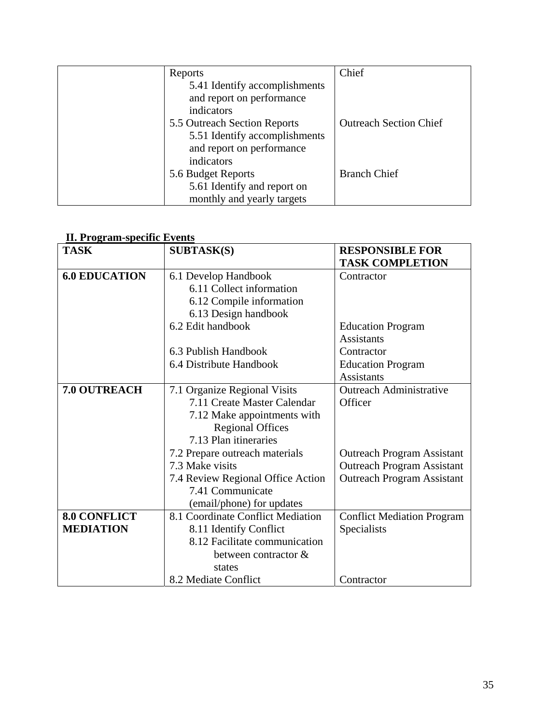| Reports                                                                                                  | Chief                         |
|----------------------------------------------------------------------------------------------------------|-------------------------------|
| 5.41 Identify accomplishments<br>and report on performance<br>indicators                                 |                               |
| 5.5 Outreach Section Reports<br>5.51 Identify accomplishments<br>and report on performance<br>indicators | <b>Outreach Section Chief</b> |
| 5.6 Budget Reports<br>5.61 Identify and report on<br>monthly and yearly targets                          | <b>Branch Chief</b>           |

### **II. Program-specific Events**

| <u>11. 1 1 0 Stand Specific 1970 million</u><br><b>TASK</b> | <b>SUBTASK(S)</b>                                                                                                                                                                                                                                                                         | <b>RESPONSIBLE FOR</b><br><b>TASK COMPLETION</b>                                                                                                         |
|-------------------------------------------------------------|-------------------------------------------------------------------------------------------------------------------------------------------------------------------------------------------------------------------------------------------------------------------------------------------|----------------------------------------------------------------------------------------------------------------------------------------------------------|
| <b>6.0 EDUCATION</b>                                        | 6.1 Develop Handbook<br>6.11 Collect information<br>6.12 Compile information<br>6.13 Design handbook                                                                                                                                                                                      | Contractor                                                                                                                                               |
|                                                             | 6.2 Edit handbook                                                                                                                                                                                                                                                                         | <b>Education Program</b><br><b>Assistants</b>                                                                                                            |
|                                                             | 6.3 Publish Handbook                                                                                                                                                                                                                                                                      | Contractor                                                                                                                                               |
|                                                             | 6.4 Distribute Handbook                                                                                                                                                                                                                                                                   | <b>Education Program</b><br><b>Assistants</b>                                                                                                            |
| 7.0 OUTREACH                                                | 7.1 Organize Regional Visits<br>7.11 Create Master Calendar<br>7.12 Make appointments with<br><b>Regional Offices</b><br>7.13 Plan itineraries<br>7.2 Prepare outreach materials<br>7.3 Make visits<br>7.4 Review Regional Office Action<br>7.41 Communicate<br>(email/phone) for updates | <b>Outreach Administrative</b><br>Officer<br><b>Outreach Program Assistant</b><br><b>Outreach Program Assistant</b><br><b>Outreach Program Assistant</b> |
| <b>8.0 CONFLICT</b><br><b>MEDIATION</b>                     | 8.1 Coordinate Conflict Mediation<br>8.11 Identify Conflict                                                                                                                                                                                                                               | <b>Conflict Mediation Program</b><br>Specialists                                                                                                         |
|                                                             | 8.12 Facilitate communication<br>between contractor &<br>states                                                                                                                                                                                                                           |                                                                                                                                                          |
|                                                             | 8.2 Mediate Conflict                                                                                                                                                                                                                                                                      | Contractor                                                                                                                                               |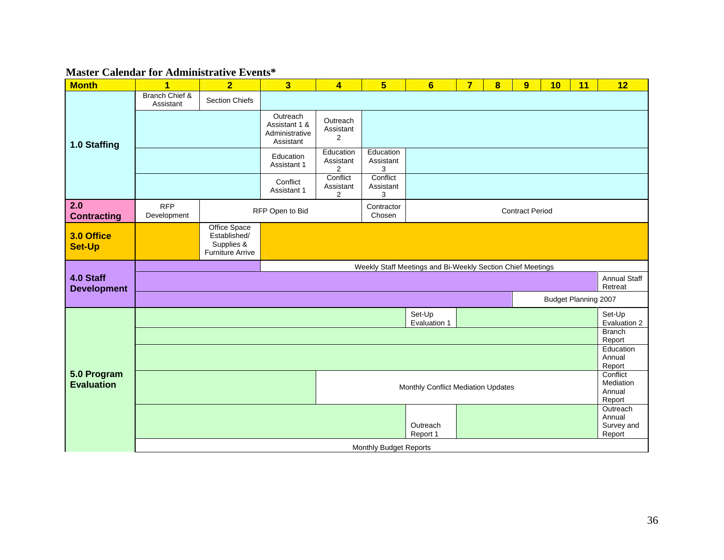#### **Master Calendar for Administrative Events\***

| <b>Month</b>                     | $\overline{\mathbf{1}}$                | $\overline{2}$                                                        | $\overline{\mathbf{3}}$                                  | $\overline{\mathbf{4}}$                  | $5\overline{)}$                    | $6\phantom{1}$                                             | $\overline{7}$ | $\overline{\mathbf{8}}$ | $\overline{9}$         | 10                          | 11                                        | 12                                         |
|----------------------------------|----------------------------------------|-----------------------------------------------------------------------|----------------------------------------------------------|------------------------------------------|------------------------------------|------------------------------------------------------------|----------------|-------------------------|------------------------|-----------------------------|-------------------------------------------|--------------------------------------------|
|                                  | <b>Branch Chief &amp;</b><br>Assistant | <b>Section Chiefs</b>                                                 |                                                          |                                          |                                    |                                                            |                |                         |                        |                             |                                           |                                            |
| 1.0 Staffing                     |                                        |                                                                       | Outreach<br>Assistant 1 &<br>Administrative<br>Assistant | Outreach<br>Assistant<br>2               |                                    |                                                            |                |                         |                        |                             |                                           |                                            |
|                                  |                                        |                                                                       | Education<br>Assistant 1                                 | Education<br>Assistant<br>$\overline{2}$ | Education<br>Assistant<br>3        |                                                            |                |                         |                        |                             |                                           |                                            |
|                                  |                                        |                                                                       | Conflict<br>Assistant 1                                  | Conflict<br>Assistant<br>$\overline{2}$  | Conflict<br>Assistant<br>3         |                                                            |                |                         |                        |                             |                                           |                                            |
| 2.0<br><b>Contracting</b>        | <b>RFP</b><br>Development              |                                                                       | RFP Open to Bid                                          |                                          | Contractor<br>Chosen               |                                                            |                |                         | <b>Contract Period</b> |                             |                                           |                                            |
| 3.0 Office<br><b>Set-Up</b>      |                                        | Office Space<br>Established/<br>Supplies &<br><b>Furniture Arrive</b> |                                                          |                                          |                                    |                                                            |                |                         |                        |                             |                                           |                                            |
|                                  |                                        |                                                                       |                                                          |                                          |                                    | Weekly Staff Meetings and Bi-Weekly Section Chief Meetings |                |                         |                        |                             |                                           |                                            |
| 4.0 Staff<br><b>Development</b>  |                                        |                                                                       |                                                          |                                          |                                    |                                                            |                |                         |                        |                             |                                           | <b>Annual Staff</b><br>Retreat             |
|                                  |                                        |                                                                       |                                                          |                                          |                                    |                                                            |                |                         |                        | <b>Budget Planning 2007</b> |                                           |                                            |
|                                  |                                        |                                                                       |                                                          |                                          |                                    | Set-Up<br>Evaluation 1                                     |                |                         |                        |                             |                                           | Set-Up<br>Evaluation 2                     |
|                                  |                                        |                                                                       |                                                          |                                          |                                    |                                                            |                |                         |                        |                             |                                           | <b>Branch</b><br>Report                    |
|                                  |                                        |                                                                       |                                                          |                                          |                                    |                                                            |                |                         |                        |                             | Education<br>Annual<br>Report             |                                            |
| 5.0 Program<br><b>Evaluation</b> |                                        |                                                                       |                                                          |                                          | Monthly Conflict Mediation Updates |                                                            |                |                         |                        |                             | Conflict<br>Mediation<br>Annual<br>Report |                                            |
|                                  |                                        |                                                                       |                                                          |                                          |                                    | Outreach<br>Report 1                                       |                |                         |                        |                             |                                           | Outreach<br>Annual<br>Survey and<br>Report |
|                                  | <b>Monthly Budget Reports</b>          |                                                                       |                                                          |                                          |                                    |                                                            |                |                         |                        |                             |                                           |                                            |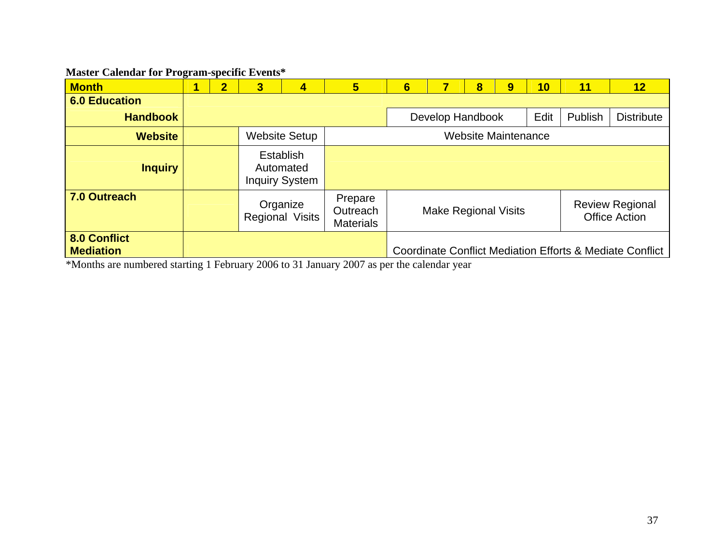### **Master Calendar for Program-specific Events\***

| <b>Month</b>                     | - | $\mathbf{2}$                        | 3 | 4                                                      | 5                                       | $6\phantom{1}6$                                                               |  | 8 | 9 | 10                | 11 | 12                                                                  |  |
|----------------------------------|---|-------------------------------------|---|--------------------------------------------------------|-----------------------------------------|-------------------------------------------------------------------------------|--|---|---|-------------------|----|---------------------------------------------------------------------|--|
| <b>6.0 Education</b>             |   |                                     |   |                                                        |                                         |                                                                               |  |   |   |                   |    |                                                                     |  |
| <b>Handbook</b>                  |   | Develop Handbook<br>Edit<br>Publish |   |                                                        |                                         |                                                                               |  |   |   | <b>Distribute</b> |    |                                                                     |  |
| <b>Website</b>                   |   |                                     |   | <b>Website Setup</b>                                   | <b>Website Maintenance</b>              |                                                                               |  |   |   |                   |    |                                                                     |  |
| <b>Inquiry</b>                   |   |                                     |   | <b>Establish</b><br>Automated<br><b>Inquiry System</b> |                                         |                                                                               |  |   |   |                   |    |                                                                     |  |
| 7.0 Outreach                     |   |                                     |   | Organize<br><b>Regional Visits</b>                     | Prepare<br>Outreach<br><b>Materials</b> | <b>Review Regional</b><br><b>Make Regional Visits</b><br><b>Office Action</b> |  |   |   |                   |    |                                                                     |  |
| 8.0 Conflict<br><b>Mediation</b> |   |                                     |   |                                                        |                                         |                                                                               |  |   |   |                   |    | <b>Coordinate Conflict Mediation Efforts &amp; Mediate Conflict</b> |  |

\*Months are numbered starting 1 February 2006 to 31 January 2007 as per the calendar year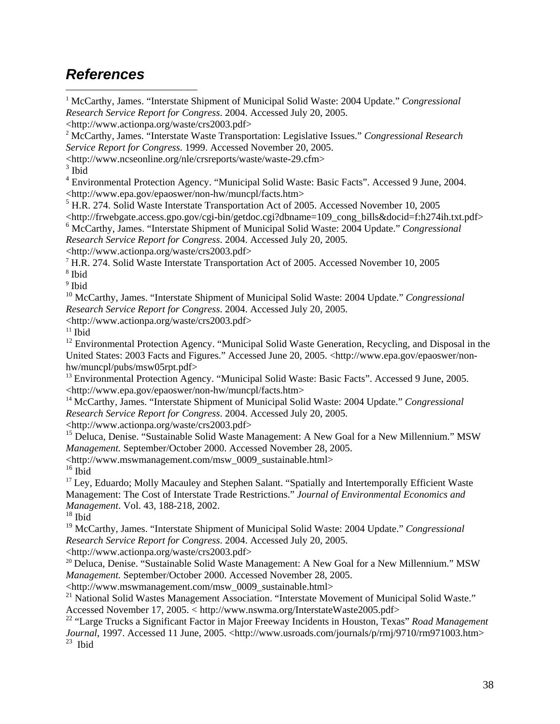# *References*

<sup>1</sup> McCarthy, James. "Interstate Shipment of Municipal Solid Waste: 2004 Update." *Congressional Research Service Report for Congress*. 2004. Accessed July 20, 2005.

<http://www.actionpa.org/waste/crs2003.pdf> 2 McCarthy, James. "Interstate Waste Transportation: Legislative Issues." *Congressional Research Service Report for Congress*. 1999. Accessed November 20, 2005.

<http://www.ncseonline.org/nle/crsreports/waste/waste-29.cfm>

 $3$  Ibid

 $\overline{a}$ 

<sup>4</sup> Environmental Protection Agency. "Municipal Solid Waste: Basic Facts". Accessed 9 June, 2004. <http://www.epa.gov/epaoswer/non-hw/muncpl/facts.htm>

<sup>5</sup> H.R. 274. Solid Waste Interstate Transportation Act of 2005. Accessed November 10, 2005

<http://frwebgate.access.gpo.gov/cgi-bin/getdoc.cgi?dbname=109\_cong\_bills&docid=f:h274ih.txt.pdf>

6 McCarthy, James. "Interstate Shipment of Municipal Solid Waste: 2004 Update." *Congressional Research Service Report for Congress*. 2004. Accessed July 20, 2005.

<http://www.actionpa.org/waste/crs2003.pdf> 7 H.R. 274. Solid Waste Interstate Transportation Act of 2005. Accessed November 10, 2005 <sup>8</sup> Ibid

<sup>9</sup> Ibid

10 McCarthy, James. "Interstate Shipment of Municipal Solid Waste: 2004 Update." *Congressional Research Service Report for Congress*. 2004. Accessed July 20, 2005.

<http://www.actionpa.org/waste/crs2003.pdf> 11 Ibid

<sup>12</sup> Environmental Protection Agency. "Municipal Solid Waste Generation, Recycling, and Disposal in the United States: 2003 Facts and Figures." Accessed June 20, 2005. <http://www.epa.gov/epaoswer/nonhw/muncpl/pubs/msw05rpt.pdf><br><sup>13</sup> Environmental Protection Agency. "Municipal Solid Waste: Basic Facts". Accessed 9 June, 2005.

<http://www.epa.gov/epaoswer/non-hw/muncpl/facts.htm>

<sup>14</sup> McCarthy, James. "Interstate Shipment of Municipal Solid Waste: 2004 Update." *Congressional Research Service Report for Congress*. 2004. Accessed July 20, 2005.

<http://www.actionpa.org/waste/crs2003.pdf>

<sup>15</sup> Deluca, Denise. "Sustainable Solid Waste Management: A New Goal for a New Millennium." MSW *Management.* September/October 2000. Accessed November 28, 2005.

<http://www.mswmanagement.com/msw\_0009\_sustainable.html>

 $16$  Ibid

<sup>17</sup> Ley, Eduardo; Molly Macauley and Stephen Salant. "Spatially and Intertemporally Efficient Waste Management: The Cost of Interstate Trade Restrictions." *Journal of Environmental Economics and Management*. Vol. 43, 188-218, 2002.

 $^{18}$  Ibid

19 McCarthy, James. "Interstate Shipment of Municipal Solid Waste: 2004 Update." *Congressional Research Service Report for Congress*. 2004. Accessed July 20, 2005.

<http://www.actionpa.org/waste/crs2003.pdf> 20 Deluca, Denise. "Sustainable Solid Waste Management: A New Goal for a New Millennium." MSW *Management.* September/October 2000. Accessed November 28, 2005.

<http://www.mswmanagement.com/msw\_0009\_sustainable.html>

<sup>21</sup> National Solid Wastes Management Association. "Interstate Movement of Municipal Solid Waste." Accessed November 17, 2005. < http://www.nswma.org/InterstateWaste2005.pdf>

22 "Large Trucks a Significant Factor in Major Freeway Incidents in Houston, Texas" *Road Management Journal*, 1997. Accessed 11 June, 2005. <http://www.usroads.com/journals/p/rmj/9710/rm971003.htm>  $23$  Ibid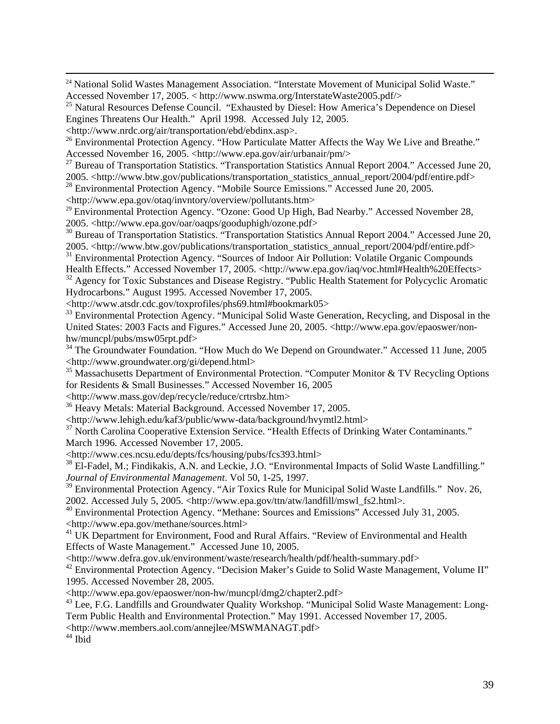<sup>24</sup> National Solid Wastes Management Association. "Interstate Movement of Municipal Solid Waste." Accessed November 17, 2005. < http://www.nswma.org/InterstateWaste2005.pdf/>

<sup>25</sup> Natural Resources Defense Council. "Exhausted by Diesel: How America's Dependence on Diesel Engines Threatens Our Health." April 1998. Accessed July 12, 2005.

<http://www.nrdc.org/air/transportation/ebd/ebdinx.asp>.

<sup>26</sup> Environmental Protection Agency. "How Particulate Matter Affects the Way We Live and Breathe." Accessed November 16, 2005. <http://www.epa.gov/air/urbanair/pm/>

<sup>27</sup> Bureau of Transportation Statistics. "Transportation Statistics Annual Report 2004." Accessed June 20, 2005. <http://www.btw.gov/publications/transportation\_statistics\_annual\_report/2004/pdf/entire.pdf>

<sup>28</sup> Environmental Protection Agency. "Mobile Source Emissions." Accessed June 20, 2005.

<http://www.epa.gov/otaq/invntory/overview/pollutants.htm>

<sup>29</sup> Environmental Protection Agency. "Ozone: Good Up High, Bad Nearby." Accessed November 28, 2005. <http://www.epa.gov/oar/oaqps/gooduphigh/ozone.pdf>

<sup>30</sup> Bureau of Transportation Statistics. "Transportation Statistics Annual Report 2004." Accessed June 20, 2005. <http://www.btw.gov/publications/transportation\_statistics\_annual\_report/2004/pdf/entire.pdf>

<sup>31</sup> Environmental Protection Agency. "Sources of Indoor Air Pollution: Volatile Organic Compounds

Health Effects." Accessed November 17, 2005. <http://www.epa.gov/iaq/voc.html#Health%20Effects> <sup>32</sup> Agency for Toxic Substances and Disease Registry. "Public Health Statement for Polycyclic Aromatic Hydrocarbons." August 1995. Accessed November 17, 2005.

<http://www.atsdr.cdc.gov/toxprofiles/phs69.html#bookmark05>

<sup>33</sup> Environmental Protection Agency. "Municipal Solid Waste Generation, Recycling, and Disposal in the United States: 2003 Facts and Figures." Accessed June 20, 2005. <http://www.epa.gov/epaoswer/nonhw/muncpl/pubs/msw05rpt.pdf>

<sup>34</sup> The Groundwater Foundation. "How Much do We Depend on Groundwater." Accessed 11 June, 2005 <http://www.groundwater.org/gi/depend.html>

<sup>35</sup> Massachusetts Department of Environmental Protection. "Computer Monitor & TV Recycling Options for Residents & Small Businesses." Accessed November 16, 2005

<http://www.mass.gov/dep/recycle/reduce/crtrsbz.htm>

36 Heavy Metals: Material Background. Accessed November 17, 2005.

<http://www.lehigh.edu/kaf3/public/www-data/background/hvymtl2.html>

<sup>37</sup> North Carolina Cooperative Extension Service. "Health Effects of Drinking Water Contaminants." March 1996. Accessed November 17, 2005.

<http://www.ces.ncsu.edu/depts/fcs/housing/pubs/fcs393.html>

<sup>38</sup> El-Fadel, M.; Findikakis, A.N. and Leckie, J.O. "Environmental Impacts of Solid Waste Landfilling." *Journal of Environmental Management*. Vol 50, 1-25, 1997.

<sup>39</sup> Environmental Protection Agency. "Air Toxics Rule for Municipal Solid Waste Landfills." Nov. 26, 2002. Accessed July 5, 2005. <http://www.epa.gov/ttn/atw/landfill/mswl\_fs2.html>.

<sup>40</sup> Environmental Protection Agency. "Methane: Sources and Emissions" Accessed July 31, 2005. <http://www.epa.gov/methane/sources.html>

<sup>41</sup> UK Department for Environment, Food and Rural Affairs. "Review of Environmental and Health Effects of Waste Management." Accessed June 10, 2005.

<http://www.defra.gov.uk/environment/waste/research/health/pdf/health-summary.pdf>

<sup>42</sup> Environmental Protection Agency. "Decision Maker's Guide to Solid Waste Management, Volume II" 1995. Accessed November 28, 2005.

<http://www.epa.gov/epaoswer/non-hw/muncpl/dmg2/chapter2.pdf>

<sup>43</sup> Lee, F.G. Landfills and Groundwater Quality Workshop. "Municipal Solid Waste Management: Long-Term Public Health and Environmental Protection." May 1991. Accessed November 17, 2005.

<http://www.members.aol.com/annejlee/MSWMANAGT.pdf>

 $44$  Ibid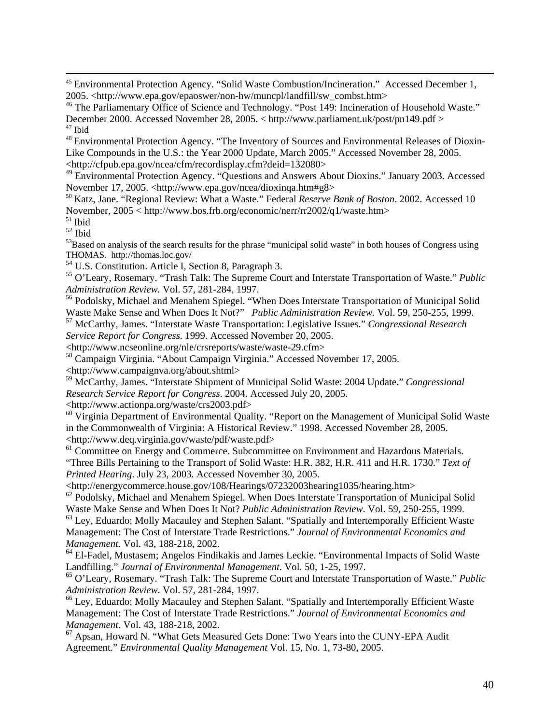45 Environmental Protection Agency. "Solid Waste Combustion/Incineration." Accessed December 1, 2005. <http://www.epa.gov/epaoswer/non-hw/muncpl/landfill/sw\_combst.htm>

<sup>46</sup> The Parliamentary Office of Science and Technology. "Post 149: Incineration of Household Waste." December 2000. Accessed November 28, 2005. < http://www.parliament.uk/post/pn149.pdf > 47 Ibid

<sup>48</sup> Environmental Protection Agency. "The Inventory of Sources and Environmental Releases of Dioxin-Like Compounds in the U.S.: the Year 2000 Update, March 2005." Accessed November 28, 2005. <http://cfpub.epa.gov/ncea/cfm/recordisplay.cfm?deid=132080>

<sup>49</sup> Environmental Protection Agency. "Questions and Answers About Dioxins." January 2003. Accessed November 17, 2005. <http://www.epa.gov/ncea/dioxinga.htm#g8>

<sup>50</sup> Katz, Jane. "Regional Review: What a Waste." Federal *Reserve Bank of Boston*. 2002. Accessed 10 November, 2005 < http://www.bos.frb.org/economic/nerr/rr2002/q1/waste.htm>

<sup>51</sup> Ibid

52 Ibid

 $53B$ ased on analysis of the search results for the phrase "municipal solid waste" in both houses of Congress using THOMAS. http://thomas.loc.gov/

<sup>54</sup> U.S. Constitution. Article I, Section 8, Paragraph 3.

55 O'Leary, Rosemary. "Trash Talk: The Supreme Court and Interstate Transportation of Waste." *Public Administration Review.* Vol. 57, 281-284, 1997.

<sup>56</sup> Podolsky, Michael and Menahem Spiegel. "When Does Interstate Transportation of Municipal Solid Waste Make Sense and When Does It Not?" *Public Administration Review.* Vol. 59, 250-255, 1999. 57 McCarthy, James. "Interstate Waste Transportation: Legislative Issues." *Congressional Research* 

*Service Report for Congress*. 1999. Accessed November 20, 2005.

<http://www.ncseonline.org/nle/crsreports/waste/waste-29.cfm>

58 Campaign Virginia. "About Campaign Virginia." Accessed November 17, 2005.

<http://www.campaignva.org/about.shtml>

59 McCarthy, James. "Interstate Shipment of Municipal Solid Waste: 2004 Update." *Congressional Research Service Report for Congress*. 2004. Accessed July 20, 2005.

<http://www.actionpa.org/waste/crs2003.pdf>

<sup>60</sup> Virginia Department of Environmental Quality. "Report on the Management of Municipal Solid Waste in the Commonwealth of Virginia: A Historical Review." 1998. Accessed November 28, 2005. <http://www.deq.virginia.gov/waste/pdf/waste.pdf>

<sup>61</sup> Committee on Energy and Commerce. Subcommittee on Environment and Hazardous Materials. "Three Bills Pertaining to the Transport of Solid Waste: H.R. 382, H.R. 411 and H.R. 1730." *Text of Printed Hearing*. July 23, 2003. Accessed November 30, 2005.

<http://energycommerce.house.gov/108/Hearings/07232003hearing1035/hearing.htm>

<sup>62</sup> Podolsky, Michael and Menahem Spiegel. When Does Interstate Transportation of Municipal Solid Waste Make Sense and When Does It Not? *Public Administration Review*. Vol. 59, 250-255, 1999. <sup>63</sup> Ley, Eduardo; Molly Macauley and Stephen Salant. "Spatially and Intertemporally Efficient Waste

Management: The Cost of Interstate Trade Restrictions." *Journal of Environmental Economics and Management.* Vol. 43, 188-218, 2002.

<sup>64</sup> El-Fadel, Mustasem; Angelos Findikakis and James Leckie. "Environmental Impacts of Solid Waste Landfilling." *Journal of Environmental Management*. Vol. 50, 1-25, 1997.

65 O'Leary, Rosemary. "Trash Talk: The Supreme Court and Interstate Transportation of Waste." *Public Administration Review*. Vol. 57, 281-284, 1997.

66 Ley, Eduardo; Molly Macauley and Stephen Salant. "Spatially and Intertemporally Efficient Waste Management: The Cost of Interstate Trade Restrictions." *Journal of Environmental Economics and Management*. Vol. 43, 188-218, 2002.

67 Apsan, Howard N. "What Gets Measured Gets Done: Two Years into the CUNY-EPA Audit Agreement." *Environmental Quality Management* Vol. 15, No. 1, 73-80, 2005.